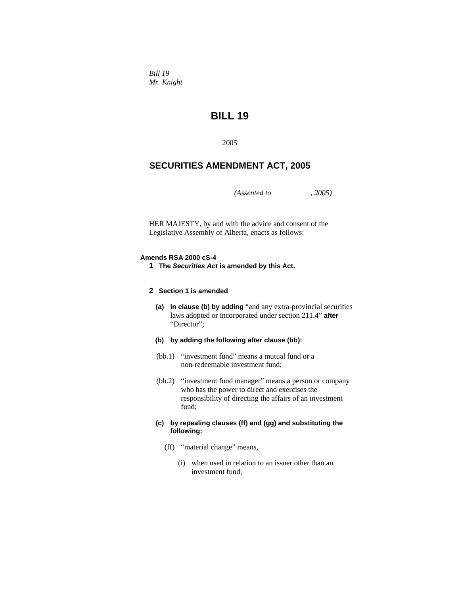*Bill 19 Mr. Knight* 

# **BILL 19**

2005

# **SECURITIES AMENDMENT ACT, 2005**

*(Assented to , 2005)* 

HER MAJESTY, by and with the advice and consent of the Legislative Assembly of Alberta, enacts as follows:

#### **Amends RSA 2000 cS-4**

- **1 The** *Securities Act* **is amended by this Act.**
- **2 Section 1 is amended**
	- **(a) in clause (b) by adding** "and any extra-provincial securities laws adopted or incorporated under section 211.4" **after**  "Director";
	- **(b) by adding the following after clause (bb):**
	- (bb.1) "investment fund" means a mutual fund or a non-redeemable investment fund;
	- (bb.2) "investment fund manager" means a person or company who has the power to direct and exercises the responsibility of directing the affairs of an investment fund;
	- **(c) by repealing clauses (ff) and (gg) and substituting the following:**
		- (ff) "material change" means,
			- (i) when used in relation to an issuer other than an investment fund,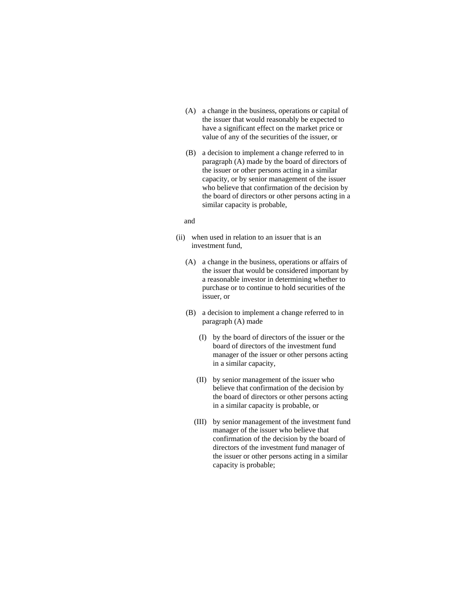- (A) a change in the business, operations or capital of the issuer that would reasonably be expected to have a significant effect on the market price or value of any of the securities of the issuer, or
- (B) a decision to implement a change referred to in paragraph (A) made by the board of directors of the issuer or other persons acting in a similar capacity, or by senior management of the issuer who believe that confirmation of the decision by the board of directors or other persons acting in a similar capacity is probable,

#### and

- (ii) when used in relation to an issuer that is an investment fund,
	- (A) a change in the business, operations or affairs of the issuer that would be considered important by a reasonable investor in determining whether to purchase or to continue to hold securities of the issuer, or
	- (B) a decision to implement a change referred to in paragraph (A) made
		- (I) by the board of directors of the issuer or the board of directors of the investment fund manager of the issuer or other persons acting in a similar capacity,
		- (II) by senior management of the issuer who believe that confirmation of the decision by the board of directors or other persons acting in a similar capacity is probable, or
		- (III) by senior management of the investment fund manager of the issuer who believe that confirmation of the decision by the board of directors of the investment fund manager of the issuer or other persons acting in a similar capacity is probable;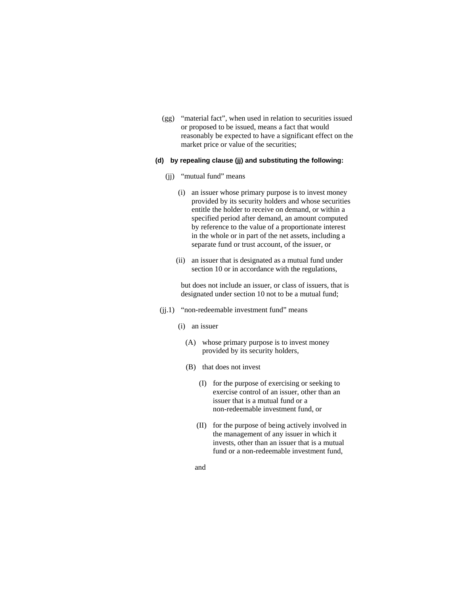(gg) "material fact", when used in relation to securities issued or proposed to be issued, means a fact that would reasonably be expected to have a significant effect on the market price or value of the securities;

# **(d) by repealing clause (jj) and substituting the following:**

- (ii) "mutual fund" means
	- (i) an issuer whose primary purpose is to invest money provided by its security holders and whose securities entitle the holder to receive on demand, or within a specified period after demand, an amount computed by reference to the value of a proportionate interest in the whole or in part of the net assets, including a separate fund or trust account, of the issuer, or
	- (ii) an issuer that is designated as a mutual fund under section 10 or in accordance with the regulations,

 but does not include an issuer, or class of issuers, that is designated under section 10 not to be a mutual fund;

- (jj.1) "non-redeemable investment fund" means
	- (i) an issuer
		- (A) whose primary purpose is to invest money provided by its security holders,
		- (B) that does not invest
			- (I) for the purpose of exercising or seeking to exercise control of an issuer, other than an issuer that is a mutual fund or a non-redeemable investment fund, or
			- (II) for the purpose of being actively involved in the management of any issuer in which it invests, other than an issuer that is a mutual fund or a non-redeemable investment fund,
			- and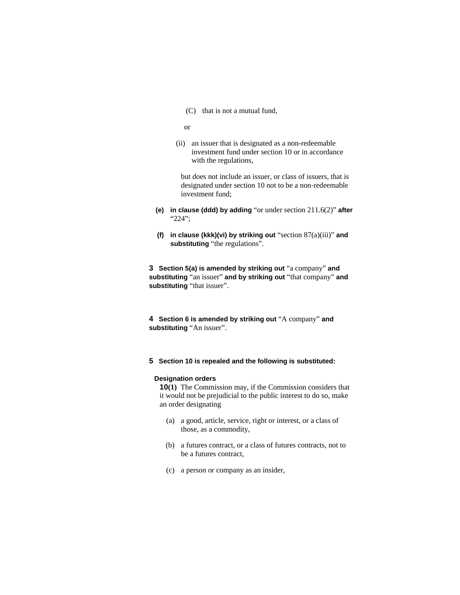(C) that is not a mutual fund,

```
 or
```
 (ii) an issuer that is designated as a non-redeemable investment fund under section 10 or in accordance with the regulations,

 but does not include an issuer, or class of issuers, that is designated under section 10 not to be a non-redeemable investment fund;

- **(e) in clause (ddd) by adding** "or under section 211.6(2)" **after**  "224";
- **(f) in clause (kkk)(vi) by striking out** "section 87(a)(iii)" **and substituting** "the regulations".

**3 Section 5(a) is amended by striking out** "a company" **and substituting** "an issuer" **and by striking out** "that company" **and substituting** "that issuer".

**4 Section 6 is amended by striking out** "A company" **and substituting** "An issuer".

# **5 Section 10 is repealed and the following is substituted:**

#### **Designation orders**

**10(1)** The Commission may, if the Commission considers that it would not be prejudicial to the public interest to do so, make an order designating

- (a) a good, article, service, right or interest, or a class of those, as a commodity,
- (b) a futures contract, or a class of futures contracts, not to be a futures contract,
- (c) a person or company as an insider,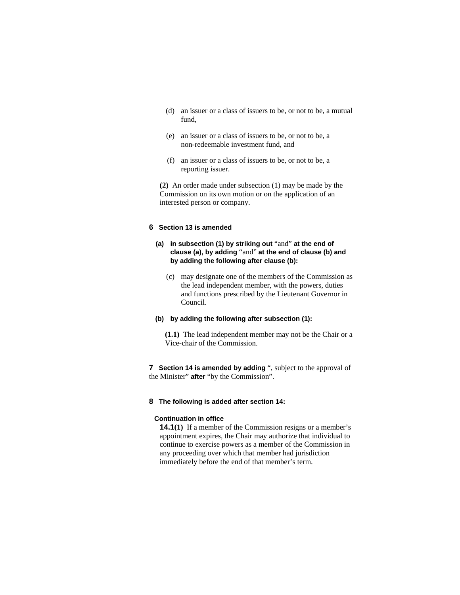- (d) an issuer or a class of issuers to be, or not to be, a mutual fund,
- (e) an issuer or a class of issuers to be, or not to be, a non-redeemable investment fund, and
- (f) an issuer or a class of issuers to be, or not to be, a reporting issuer.

**(2)** An order made under subsection (1) may be made by the Commission on its own motion or on the application of an interested person or company.

# **6 Section 13 is amended**

# **(a) in subsection (1) by striking out** "and" **at the end of clause (a), by adding** "and" **at the end of clause (b) and by adding the following after clause (b):**

 (c) may designate one of the members of the Commission as the lead independent member, with the powers, duties and functions prescribed by the Lieutenant Governor in Council.

# **(b) by adding the following after subsection (1):**

**(1.1)** The lead independent member may not be the Chair or a Vice-chair of the Commission.

**7 Section 14 is amended by adding** ", subject to the approval of the Minister" **after** "by the Commission".

# **8 The following is added after section 14:**

# **Continuation in office**

**14.1(1)** If a member of the Commission resigns or a member's appointment expires, the Chair may authorize that individual to continue to exercise powers as a member of the Commission in any proceeding over which that member had jurisdiction immediately before the end of that member's term.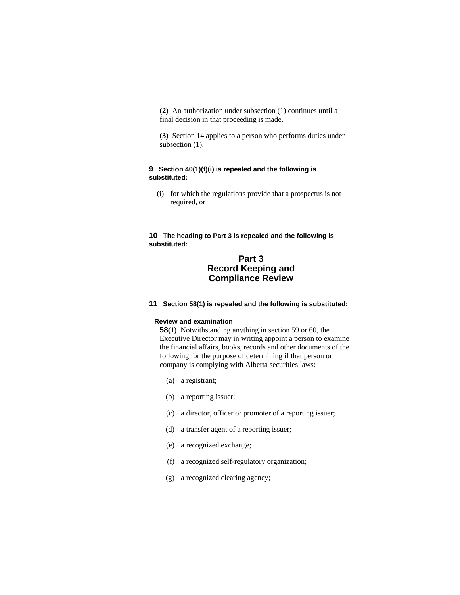**(2)** An authorization under subsection (1) continues until a final decision in that proceeding is made.

**(3)** Section 14 applies to a person who performs duties under subsection  $(1)$ .

# **9 Section 40(1)(f)(i) is repealed and the following is substituted:**

 (i) for which the regulations provide that a prospectus is not required, or

**10 The heading to Part 3 is repealed and the following is substituted:** 

# **Part 3 Record Keeping and Compliance Review**

# **11 Section 58(1) is repealed and the following is substituted:**

# **Review and examination**

**58(1)** Notwithstanding anything in section 59 or 60, the Executive Director may in writing appoint a person to examine the financial affairs, books, records and other documents of the following for the purpose of determining if that person or company is complying with Alberta securities laws:

- (a) a registrant;
- (b) a reporting issuer;
- (c) a director, officer or promoter of a reporting issuer;
- (d) a transfer agent of a reporting issuer;
- (e) a recognized exchange;
- (f) a recognized self-regulatory organization;
- (g) a recognized clearing agency;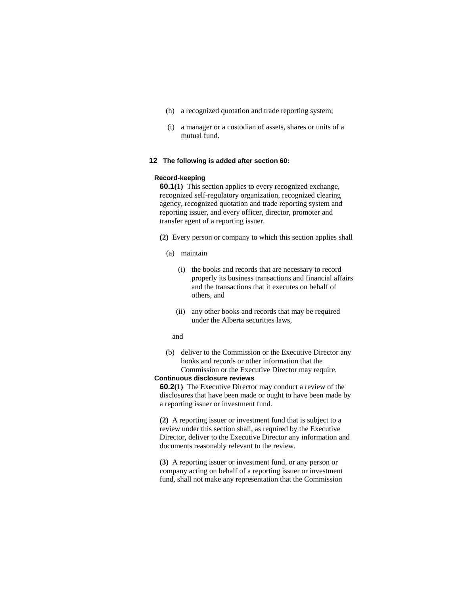- (h) a recognized quotation and trade reporting system;
- (i) a manager or a custodian of assets, shares or units of a mutual fund.

#### **12 The following is added after section 60:**

#### **Record-keeping**

**60.1(1)** This section applies to every recognized exchange, recognized self-regulatory organization, recognized clearing agency, recognized quotation and trade reporting system and reporting issuer, and every officer, director, promoter and transfer agent of a reporting issuer.

**(2)** Every person or company to which this section applies shall

- (a) maintain
	- (i) the books and records that are necessary to record properly its business transactions and financial affairs and the transactions that it executes on behalf of others, and
	- (ii) any other books and records that may be required under the Alberta securities laws,

#### and

 (b) deliver to the Commission or the Executive Director any books and records or other information that the Commission or the Executive Director may require.

#### **Continuous disclosure reviews**

**60.2(1)** The Executive Director may conduct a review of the disclosures that have been made or ought to have been made by a reporting issuer or investment fund.

**(2)** A reporting issuer or investment fund that is subject to a review under this section shall, as required by the Executive Director, deliver to the Executive Director any information and documents reasonably relevant to the review.

**(3)** A reporting issuer or investment fund, or any person or company acting on behalf of a reporting issuer or investment fund, shall not make any representation that the Commission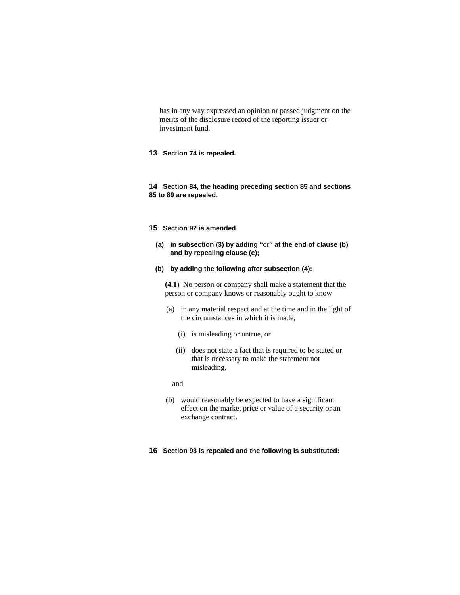has in any way expressed an opinion or passed judgment on the merits of the disclosure record of the reporting issuer or investment fund.

# **13 Section 74 is repealed.**

**14 Section 84, the heading preceding section 85 and sections 85 to 89 are repealed.**

## **15 Section 92 is amended**

- **(a) in subsection (3) by adding** "or" **at the end of clause (b) and by repealing clause (c);**
- **(b) by adding the following after subsection (4):**

**(4.1)** No person or company shall make a statement that the person or company knows or reasonably ought to know

- (a) in any material respect and at the time and in the light of the circumstances in which it is made,
	- (i) is misleading or untrue, or
	- (ii) does not state a fact that is required to be stated or that is necessary to make the statement not misleading,

# and

 (b) would reasonably be expected to have a significant effect on the market price or value of a security or an exchange contract.

# **16 Section 93 is repealed and the following is substituted:**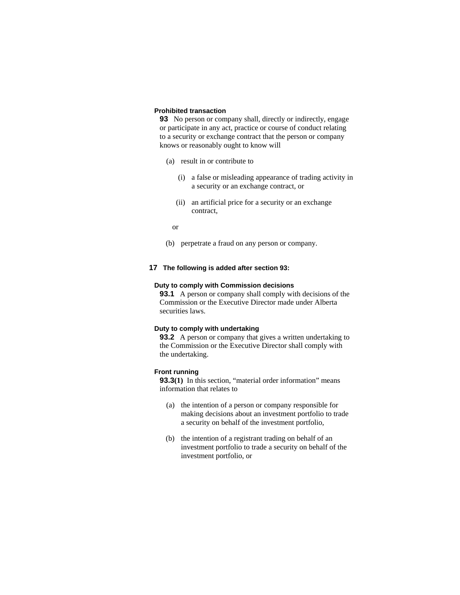# **Prohibited transaction**

**93** No person or company shall, directly or indirectly, engage or participate in any act, practice or course of conduct relating to a security or exchange contract that the person or company knows or reasonably ought to know will

- (a) result in or contribute to
	- (i) a false or misleading appearance of trading activity in a security or an exchange contract, or
	- (ii) an artificial price for a security or an exchange contract,
	- or
- (b) perpetrate a fraud on any person or company.

# **17 The following is added after section 93:**

#### **Duty to comply with Commission decisions**

**93.1** A person or company shall comply with decisions of the Commission or the Executive Director made under Alberta securities laws.

#### **Duty to comply with undertaking**

**93.2** A person or company that gives a written undertaking to the Commission or the Executive Director shall comply with the undertaking.

# **Front running**

**93.3(1)** In this section, "material order information" means information that relates to

- (a) the intention of a person or company responsible for making decisions about an investment portfolio to trade a security on behalf of the investment portfolio,
- (b) the intention of a registrant trading on behalf of an investment portfolio to trade a security on behalf of the investment portfolio, or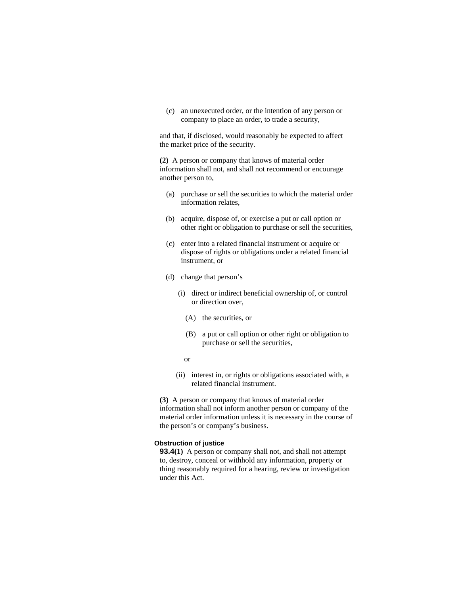(c) an unexecuted order, or the intention of any person or company to place an order, to trade a security,

and that, if disclosed, would reasonably be expected to affect the market price of the security.

**(2)** A person or company that knows of material order information shall not, and shall not recommend or encourage another person to,

- (a) purchase or sell the securities to which the material order information relates,
- (b) acquire, dispose of, or exercise a put or call option or other right or obligation to purchase or sell the securities,
- (c) enter into a related financial instrument or acquire or dispose of rights or obligations under a related financial instrument, or
- (d) change that person's
	- (i) direct or indirect beneficial ownership of, or control or direction over,
		- (A) the securities, or
		- (B) a put or call option or other right or obligation to purchase or sell the securities,
		- or
	- (ii) interest in, or rights or obligations associated with, a related financial instrument.

**(3)** A person or company that knows of material order information shall not inform another person or company of the material order information unless it is necessary in the course of the person's or company's business.

# **Obstruction of justice**

**93.4(1)** A person or company shall not, and shall not attempt to, destroy, conceal or withhold any information, property or thing reasonably required for a hearing, review or investigation under this Act.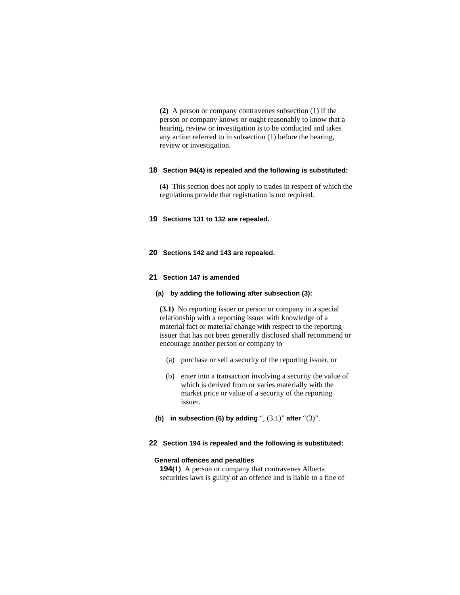**(2)** A person or company contravenes subsection (1) if the person or company knows or ought reasonably to know that a hearing, review or investigation is to be conducted and takes any action referred to in subsection (1) before the hearing, review or investigation.

#### **18 Section 94(4) is repealed and the following is substituted:**

**(4)** This section does not apply to trades in respect of which the regulations provide that registration is not required.

# **19 Sections 131 to 132 are repealed.**

#### **20 Sections 142 and 143 are repealed.**

## **21 Section 147 is amended**

# **(a) by adding the following after subsection (3):**

**(3.1)** No reporting issuer or person or company in a special relationship with a reporting issuer with knowledge of a material fact or material change with respect to the reporting issuer that has not been generally disclosed shall recommend or encourage another person or company to

- (a) purchase or sell a security of the reporting issuer, or
- (b) enter into a transaction involving a security the value of which is derived from or varies materially with the market price or value of a security of the reporting issuer.
- **(b) in subsection (6) by adding** ", (3.1)" **after** "(3)".

# **22 Section 194 is repealed and the following is substituted:**

#### **General offences and penalties**

**194(1)** A person or company that contravenes Alberta securities laws is guilty of an offence and is liable to a fine of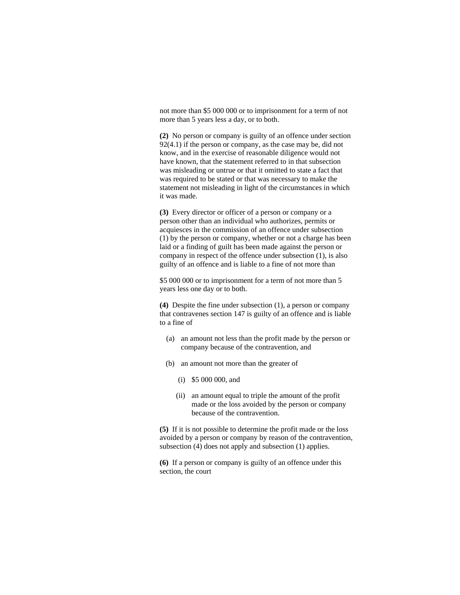not more than \$5 000 000 or to imprisonment for a term of not more than 5 years less a day, or to both.

**(2)** No person or company is guilty of an offence under section 92(4.1) if the person or company, as the case may be, did not know, and in the exercise of reasonable diligence would not have known, that the statement referred to in that subsection was misleading or untrue or that it omitted to state a fact that was required to be stated or that was necessary to make the statement not misleading in light of the circumstances in which it was made.

**(3)** Every director or officer of a person or company or a person other than an individual who authorizes, permits or acquiesces in the commission of an offence under subsection (1) by the person or company, whether or not a charge has been laid or a finding of guilt has been made against the person or company in respect of the offence under subsection (1), is also guilty of an offence and is liable to a fine of not more than

\$5 000 000 or to imprisonment for a term of not more than 5 years less one day or to both.

**(4)** Despite the fine under subsection (1), a person or company that contravenes section 147 is guilty of an offence and is liable to a fine of

- (a) an amount not less than the profit made by the person or company because of the contravention, and
- (b) an amount not more than the greater of
	- (i) \$5 000 000, and
	- (ii) an amount equal to triple the amount of the profit made or the loss avoided by the person or company because of the contravention.

**(5)** If it is not possible to determine the profit made or the loss avoided by a person or company by reason of the contravention, subsection (4) does not apply and subsection (1) applies.

**(6)** If a person or company is guilty of an offence under this section, the court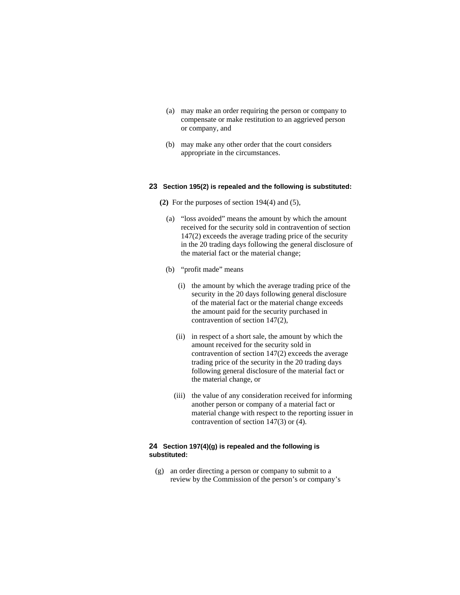- (a) may make an order requiring the person or company to compensate or make restitution to an aggrieved person or company, and
- (b) may make any other order that the court considers appropriate in the circumstances.

## **23 Section 195(2) is repealed and the following is substituted:**

- **(2)** For the purposes of section 194(4) and (5),
	- (a) "loss avoided" means the amount by which the amount received for the security sold in contravention of section 147(2) exceeds the average trading price of the security in the 20 trading days following the general disclosure of the material fact or the material change;
	- (b) "profit made" means
		- (i) the amount by which the average trading price of the security in the 20 days following general disclosure of the material fact or the material change exceeds the amount paid for the security purchased in contravention of section 147(2),
		- (ii) in respect of a short sale, the amount by which the amount received for the security sold in contravention of section 147(2) exceeds the average trading price of the security in the 20 trading days following general disclosure of the material fact or the material change, or
		- (iii) the value of any consideration received for informing another person or company of a material fact or material change with respect to the reporting issuer in contravention of section 147(3) or (4).

# **24 Section 197(4)(g) is repealed and the following is substituted:**

 (g) an order directing a person or company to submit to a review by the Commission of the person's or company's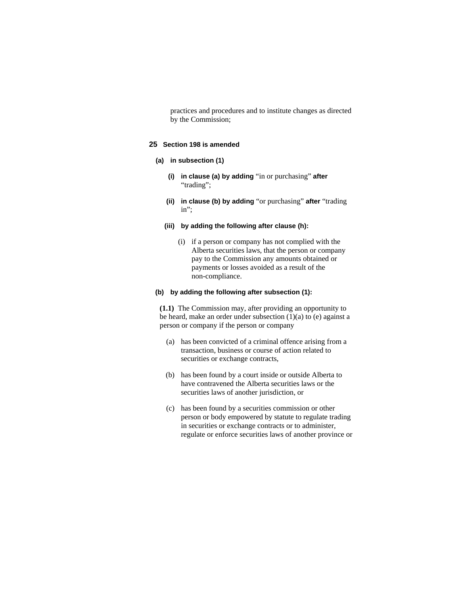practices and procedures and to institute changes as directed by the Commission;

# **25 Section 198 is amended**

# **(a) in subsection (1)**

- **(i) in clause (a) by adding** "in or purchasing" **after**  "trading";
- **(ii) in clause (b) by adding** "or purchasing" **after** "trading in";

#### **(iii) by adding the following after clause (h):**

 (i) if a person or company has not complied with the Alberta securities laws, that the person or company pay to the Commission any amounts obtained or payments or losses avoided as a result of the non-compliance.

#### **(b) by adding the following after subsection (1):**

**(1.1)** The Commission may, after providing an opportunity to be heard, make an order under subsection  $(1)(a)$  to  $(e)$  against a person or company if the person or company

- (a) has been convicted of a criminal offence arising from a transaction, business or course of action related to securities or exchange contracts,
- (b) has been found by a court inside or outside Alberta to have contravened the Alberta securities laws or the securities laws of another jurisdiction, or
- (c) has been found by a securities commission or other person or body empowered by statute to regulate trading in securities or exchange contracts or to administer, regulate or enforce securities laws of another province or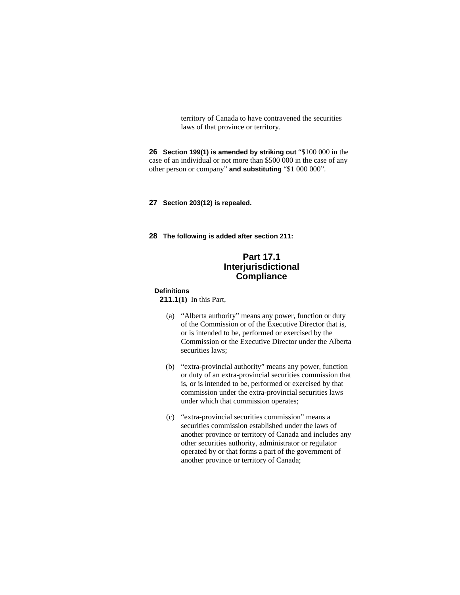territory of Canada to have contravened the securities laws of that province or territory.

**26 Section 199(1) is amended by striking out "\$100 000 in the** case of an individual or not more than \$500 000 in the case of any other person or company" **and substituting** "\$1 000 000".

**27 Section 203(12) is repealed.** 

**28 The following is added after section 211:**

# **Part 17.1 Interjurisdictional Compliance**

#### **Definitions**

**211.1(1)** In this Part,

- (a) "Alberta authority" means any power, function or duty of the Commission or of the Executive Director that is, or is intended to be, performed or exercised by the Commission or the Executive Director under the Alberta securities laws;
- (b) "extra-provincial authority" means any power, function or duty of an extra-provincial securities commission that is, or is intended to be, performed or exercised by that commission under the extra-provincial securities laws under which that commission operates;
- (c) "extra-provincial securities commission" means a securities commission established under the laws of another province or territory of Canada and includes any other securities authority, administrator or regulator operated by or that forms a part of the government of another province or territory of Canada;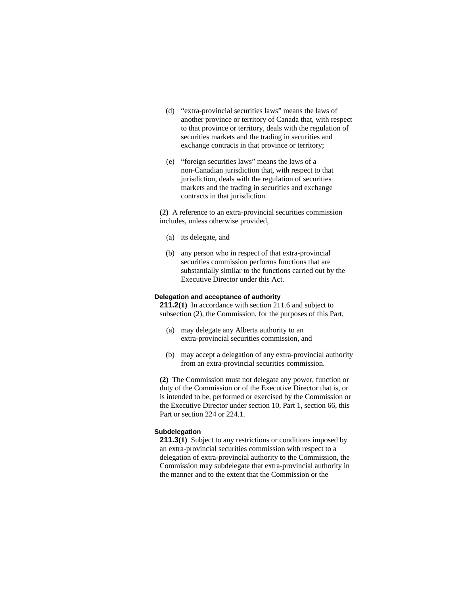- (d) "extra-provincial securities laws" means the laws of another province or territory of Canada that, with respect to that province or territory, deals with the regulation of securities markets and the trading in securities and exchange contracts in that province or territory;
- (e) "foreign securities laws" means the laws of a non-Canadian jurisdiction that, with respect to that jurisdiction, deals with the regulation of securities markets and the trading in securities and exchange contracts in that jurisdiction.

**(2)** A reference to an extra-provincial securities commission includes, unless otherwise provided,

- (a) its delegate, and
- (b) any person who in respect of that extra-provincial securities commission performs functions that are substantially similar to the functions carried out by the Executive Director under this Act.

# **Delegation and acceptance of authority**

**211.2(1)** In accordance with section 211.6 and subject to subsection (2), the Commission, for the purposes of this Part,

- (a) may delegate any Alberta authority to an extra-provincial securities commission, and
- (b) may accept a delegation of any extra-provincial authority from an extra-provincial securities commission.

**(2)** The Commission must not delegate any power, function or duty of the Commission or of the Executive Director that is, or is intended to be, performed or exercised by the Commission or the Executive Director under section 10, Part 1, section 66, this Part or section 224 or 224.1.

#### **Subdelegation**

**211.3(1)** Subject to any restrictions or conditions imposed by an extra-provincial securities commission with respect to a delegation of extra-provincial authority to the Commission, the Commission may subdelegate that extra-provincial authority in the manner and to the extent that the Commission or the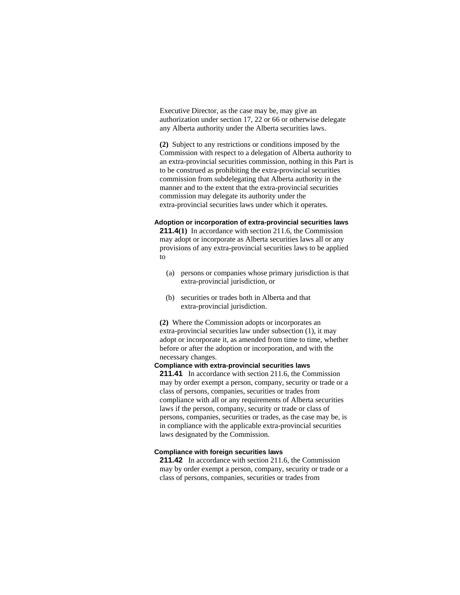Executive Director, as the case may be, may give an authorization under section 17, 22 or 66 or otherwise delegate any Alberta authority under the Alberta securities laws.

**(2)** Subject to any restrictions or conditions imposed by the Commission with respect to a delegation of Alberta authority to an extra-provincial securities commission, nothing in this Part is to be construed as prohibiting the extra-provincial securities commission from subdelegating that Alberta authority in the manner and to the extent that the extra-provincial securities commission may delegate its authority under the extra-provincial securities laws under which it operates.

# **Adoption or incorporation of extra-provincial securities laws**

**211.4(1)** In accordance with section 211.6, the Commission may adopt or incorporate as Alberta securities laws all or any provisions of any extra-provincial securities laws to be applied to

- (a) persons or companies whose primary jurisdiction is that extra-provincial jurisdiction, or
- (b) securities or trades both in Alberta and that extra-provincial jurisdiction.

**(2)** Where the Commission adopts or incorporates an extra-provincial securities law under subsection (1), it may adopt or incorporate it, as amended from time to time, whether before or after the adoption or incorporation, and with the necessary changes.

# **Compliance with extra-provincial securities laws**

**211.41** In accordance with section 211.6, the Commission may by order exempt a person, company, security or trade or a class of persons, companies, securities or trades from compliance with all or any requirements of Alberta securities laws if the person, company, security or trade or class of persons, companies, securities or trades, as the case may be, is in compliance with the applicable extra-provincial securities laws designated by the Commission.

#### **Compliance with foreign securities laws**

**211.42** In accordance with section 211.6, the Commission may by order exempt a person, company, security or trade or a class of persons, companies, securities or trades from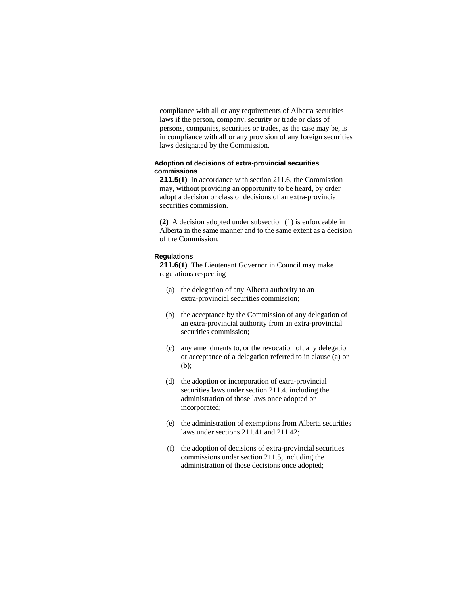compliance with all or any requirements of Alberta securities laws if the person, company, security or trade or class of persons, companies, securities or trades, as the case may be, is in compliance with all or any provision of any foreign securities laws designated by the Commission.

# **Adoption of decisions of extra-provincial securities commissions**

**211.5(1)** In accordance with section 211.6, the Commission may, without providing an opportunity to be heard, by order adopt a decision or class of decisions of an extra-provincial securities commission.

**(2)** A decision adopted under subsection (1) is enforceable in Alberta in the same manner and to the same extent as a decision of the Commission.

#### **Regulations**

**211.6(1)** The Lieutenant Governor in Council may make regulations respecting

- (a) the delegation of any Alberta authority to an extra-provincial securities commission;
- (b) the acceptance by the Commission of any delegation of an extra-provincial authority from an extra-provincial securities commission;
- (c) any amendments to, or the revocation of, any delegation or acceptance of a delegation referred to in clause (a) or (b);
- (d) the adoption or incorporation of extra-provincial securities laws under section 211.4, including the administration of those laws once adopted or incorporated;
- (e) the administration of exemptions from Alberta securities laws under sections 211.41 and 211.42;
- (f) the adoption of decisions of extra-provincial securities commissions under section 211.5, including the administration of those decisions once adopted;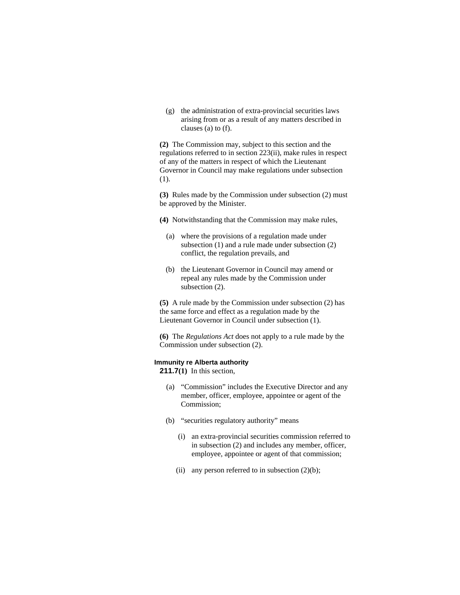(g) the administration of extra-provincial securities laws arising from or as a result of any matters described in clauses (a) to (f).

**(2)** The Commission may, subject to this section and the regulations referred to in section 223(ii), make rules in respect of any of the matters in respect of which the Lieutenant Governor in Council may make regulations under subsection (1).

**(3)** Rules made by the Commission under subsection (2) must be approved by the Minister.

**(4)** Notwithstanding that the Commission may make rules,

- (a) where the provisions of a regulation made under subsection (1) and a rule made under subsection (2) conflict, the regulation prevails, and
- (b) the Lieutenant Governor in Council may amend or repeal any rules made by the Commission under subsection  $(2)$ .

**(5)** A rule made by the Commission under subsection (2) has the same force and effect as a regulation made by the Lieutenant Governor in Council under subsection (1).

**(6)** The *Regulations Act* does not apply to a rule made by the Commission under subsection (2).

#### **Immunity re Alberta authority**

**211.7(1)** In this section,

- (a) "Commission" includes the Executive Director and any member, officer, employee, appointee or agent of the Commission;
- (b) "securities regulatory authority" means
	- (i) an extra-provincial securities commission referred to in subsection (2) and includes any member, officer, employee, appointee or agent of that commission;
	- (ii) any person referred to in subsection  $(2)(b)$ ;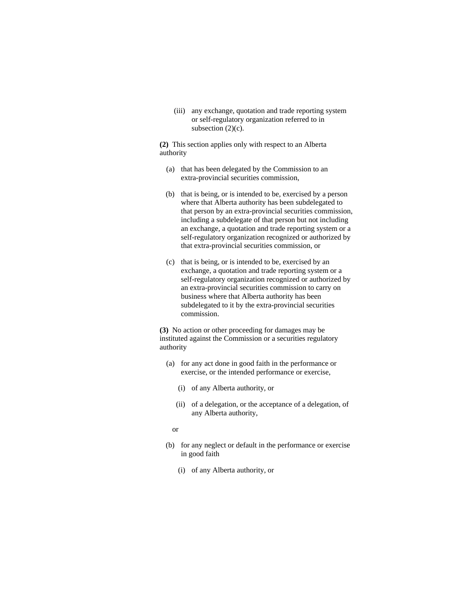(iii) any exchange, quotation and trade reporting system or self-regulatory organization referred to in subsection  $(2)(c)$ .

**(2)** This section applies only with respect to an Alberta authority

- (a) that has been delegated by the Commission to an extra-provincial securities commission,
- (b) that is being, or is intended to be, exercised by a person where that Alberta authority has been subdelegated to that person by an extra-provincial securities commission, including a subdelegate of that person but not including an exchange, a quotation and trade reporting system or a self-regulatory organization recognized or authorized by that extra-provincial securities commission, or
- (c) that is being, or is intended to be, exercised by an exchange, a quotation and trade reporting system or a self-regulatory organization recognized or authorized by an extra-provincial securities commission to carry on business where that Alberta authority has been subdelegated to it by the extra-provincial securities commission.

**(3)** No action or other proceeding for damages may be instituted against the Commission or a securities regulatory authority

- (a) for any act done in good faith in the performance or exercise, or the intended performance or exercise,
	- (i) of any Alberta authority, or
	- (ii) of a delegation, or the acceptance of a delegation, of any Alberta authority,

or

- (b) for any neglect or default in the performance or exercise in good faith
	- (i) of any Alberta authority, or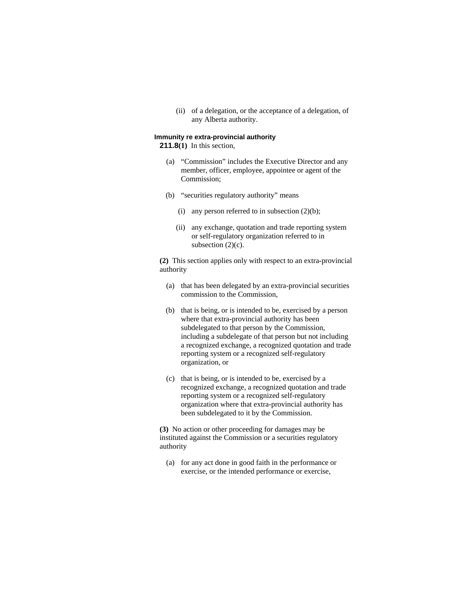(ii) of a delegation, or the acceptance of a delegation, of any Alberta authority.

# **Immunity re extra-provincial authority**

**211.8(1)** In this section,

- (a) "Commission" includes the Executive Director and any member, officer, employee, appointee or agent of the Commission;
- (b) "securities regulatory authority" means
	- (i) any person referred to in subsection  $(2)(b)$ ;
	- (ii) any exchange, quotation and trade reporting system or self-regulatory organization referred to in subsection  $(2)(c)$ .

**(2)** This section applies only with respect to an extra-provincial authority

- (a) that has been delegated by an extra-provincial securities commission to the Commission,
- (b) that is being, or is intended to be, exercised by a person where that extra-provincial authority has been subdelegated to that person by the Commission, including a subdelegate of that person but not including a recognized exchange, a recognized quotation and trade reporting system or a recognized self-regulatory organization, or
- (c) that is being, or is intended to be, exercised by a recognized exchange, a recognized quotation and trade reporting system or a recognized self-regulatory organization where that extra-provincial authority has been subdelegated to it by the Commission.

**(3)** No action or other proceeding for damages may be instituted against the Commission or a securities regulatory authority

 (a) for any act done in good faith in the performance or exercise, or the intended performance or exercise,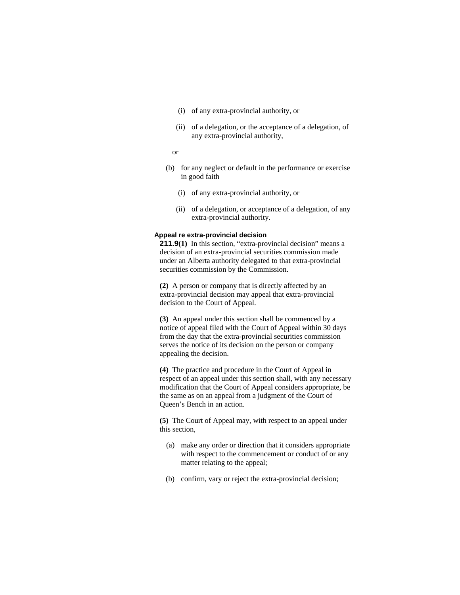- (i) of any extra-provincial authority, or
- (ii) of a delegation, or the acceptance of a delegation, of any extra-provincial authority,
- or
- (b) for any neglect or default in the performance or exercise in good faith
	- (i) of any extra-provincial authority, or
	- (ii) of a delegation, or acceptance of a delegation, of any extra-provincial authority.

# **Appeal re extra-provincial decision**

**211.9(1)** In this section, "extra-provincial decision" means a decision of an extra-provincial securities commission made under an Alberta authority delegated to that extra-provincial securities commission by the Commission.

**(2)** A person or company that is directly affected by an extra-provincial decision may appeal that extra-provincial decision to the Court of Appeal.

**(3)** An appeal under this section shall be commenced by a notice of appeal filed with the Court of Appeal within 30 days from the day that the extra-provincial securities commission serves the notice of its decision on the person or company appealing the decision.

**(4)** The practice and procedure in the Court of Appeal in respect of an appeal under this section shall, with any necessary modification that the Court of Appeal considers appropriate, be the same as on an appeal from a judgment of the Court of Queen's Bench in an action.

**(5)** The Court of Appeal may, with respect to an appeal under this section,

- (a) make any order or direction that it considers appropriate with respect to the commencement or conduct of or any matter relating to the appeal;
- (b) confirm, vary or reject the extra-provincial decision;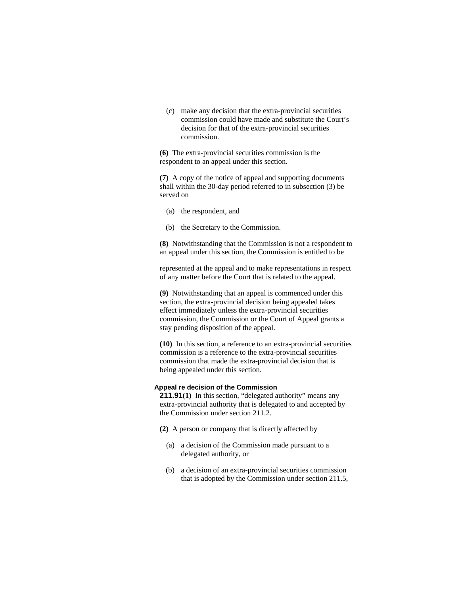(c) make any decision that the extra-provincial securities commission could have made and substitute the Court's decision for that of the extra-provincial securities commission.

**(6)** The extra-provincial securities commission is the respondent to an appeal under this section.

**(7)** A copy of the notice of appeal and supporting documents shall within the 30-day period referred to in subsection (3) be served on

- (a) the respondent, and
- (b) the Secretary to the Commission.

**(8)** Notwithstanding that the Commission is not a respondent to an appeal under this section, the Commission is entitled to be

represented at the appeal and to make representations in respect of any matter before the Court that is related to the appeal.

**(9)** Notwithstanding that an appeal is commenced under this section, the extra-provincial decision being appealed takes effect immediately unless the extra-provincial securities commission, the Commission or the Court of Appeal grants a stay pending disposition of the appeal.

**(10)** In this section, a reference to an extra-provincial securities commission is a reference to the extra-provincial securities commission that made the extra-provincial decision that is being appealed under this section.

#### **Appeal re decision of the Commission**

**211.91(1)** In this section, "delegated authority" means any extra-provincial authority that is delegated to and accepted by the Commission under section 211.2.

- **(2)** A person or company that is directly affected by
	- (a) a decision of the Commission made pursuant to a delegated authority, or
	- (b) a decision of an extra-provincial securities commission that is adopted by the Commission under section 211.5,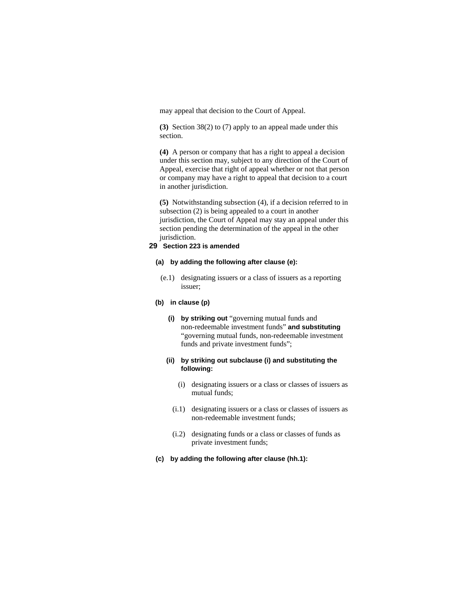may appeal that decision to the Court of Appeal.

**(3)** Section 38(2) to (7) apply to an appeal made under this section.

**(4)** A person or company that has a right to appeal a decision under this section may, subject to any direction of the Court of Appeal, exercise that right of appeal whether or not that person or company may have a right to appeal that decision to a court in another jurisdiction.

**(5)** Notwithstanding subsection (4), if a decision referred to in subsection (2) is being appealed to a court in another jurisdiction, the Court of Appeal may stay an appeal under this section pending the determination of the appeal in the other jurisdiction.

# **29 Section 223 is amended**

#### **(a) by adding the following after clause (e):**

 (e.1) designating issuers or a class of issuers as a reporting issuer;

# **(b) in clause (p)**

**(i) by striking out** "governing mutual funds and non-redeemable investment funds" **and substituting**  "governing mutual funds, non-redeemable investment funds and private investment funds";

# **(ii) by striking out subclause (i) and substituting the following:**

- (i) designating issuers or a class or classes of issuers as mutual funds;
- (i.1) designating issuers or a class or classes of issuers as non-redeemable investment funds;
- (i.2) designating funds or a class or classes of funds as private investment funds;
- **(c) by adding the following after clause (hh.1):**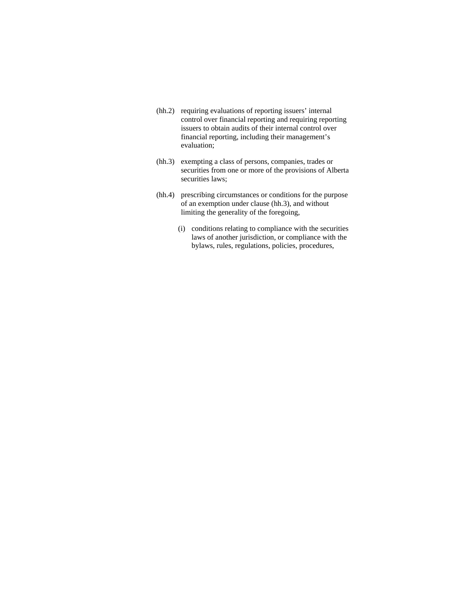- (hh.2) requiring evaluations of reporting issuers' internal control over financial reporting and requiring reporting issuers to obtain audits of their internal control over financial reporting, including their management's evaluation;
- (hh.3) exempting a class of persons, companies, trades or securities from one or more of the provisions of Alberta securities laws;
- (hh.4) prescribing circumstances or conditions for the purpose of an exemption under clause (hh.3), and without limiting the generality of the foregoing,
	- (i) conditions relating to compliance with the securities laws of another jurisdiction, or compliance with the bylaws, rules, regulations, policies, procedures,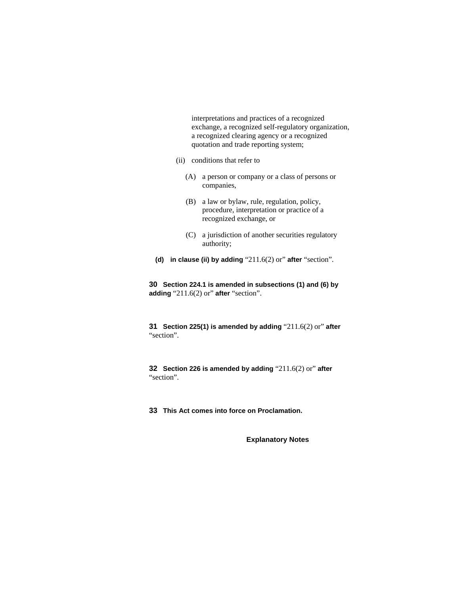interpretations and practices of a recognized exchange, a recognized self-regulatory organization, a recognized clearing agency or a recognized quotation and trade reporting system;

- (ii) conditions that refer to
	- (A) a person or company or a class of persons or companies,
	- (B) a law or bylaw, rule, regulation, policy, procedure, interpretation or practice of a recognized exchange, or
	- (C) a jurisdiction of another securities regulatory authority;
- **(d) in clause (ii) by adding** "211.6(2) or" **after** "section".

**30 Section 224.1 is amended in subsections (1) and (6) by adding** "211.6(2) or" **after** "section".

**31 Section 225(1) is amended by adding** "211.6(2) or" **after**  "section".

**32 Section 226 is amended by adding** "211.6(2) or" **after**  "section".

**33 This Act comes into force on Proclamation.** 

**Explanatory Notes**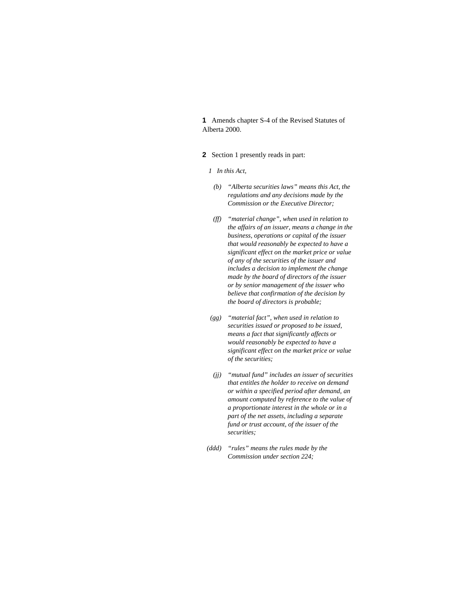**1** Amends chapter S-4 of the Revised Statutes of Alberta 2000.

- **2** Section 1 presently reads in part:
	- *1 In this Act,*
	- *(b) "Alberta securities laws" means this Act, the regulations and any decisions made by the Commission or the Executive Director;*
	- *(ff) "material change", when used in relation to the affairs of an issuer, means a change in the business, operations or capital of the issuer that would reasonably be expected to have a significant effect on the market price or value of any of the securities of the issuer and includes a decision to implement the change made by the board of directors of the issuer or by senior management of the issuer who believe that confirmation of the decision by the board of directors is probable;*
	- *(gg) "material fact", when used in relation to securities issued or proposed to be issued, means a fact that significantly affects or would reasonably be expected to have a significant effect on the market price or value of the securities;*
	- *(jj) "mutual fund" includes an issuer of securities that entitles the holder to receive on demand or within a specified period after demand, an amount computed by reference to the value of a proportionate interest in the whole or in a part of the net assets, including a separate fund or trust account, of the issuer of the securities;*
- *(ddd) "rules" means the rules made by the Commission under section 224;*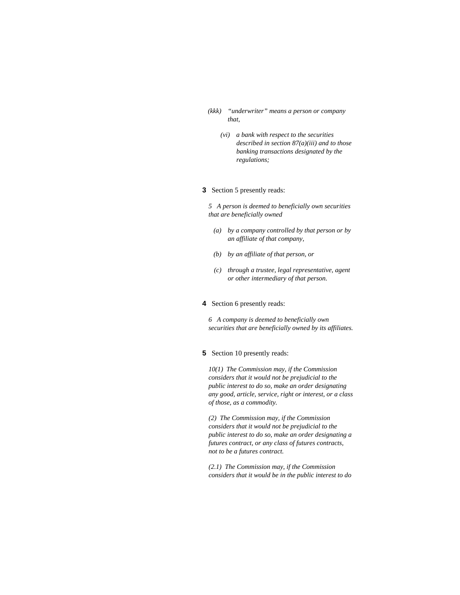- *(kkk) "underwriter" means a person or company that,* 
	- *(vi) a bank with respect to the securities described in section 87(a)(iii) and to those banking transactions designated by the regulations;*

# **3** Section 5 presently reads:

*5 A person is deemed to beneficially own securities that are beneficially owned* 

- *(a) by a company controlled by that person or by an affiliate of that company,*
- *(b) by an affiliate of that person, or*
- *(c) through a trustee, legal representative, agent or other intermediary of that person.*

#### **4** Section 6 presently reads:

*6 A company is deemed to beneficially own securities that are beneficially owned by its affiliates.* 

## **5** Section 10 presently reads:

*10(1) The Commission may, if the Commission considers that it would not be prejudicial to the public interest to do so, make an order designating any good, article, service, right or interest, or a class of those, as a commodity.* 

*(2) The Commission may, if the Commission considers that it would not be prejudicial to the public interest to do so, make an order designating a futures contract, or any class of futures contracts, not to be a futures contract.* 

*(2.1) The Commission may, if the Commission considers that it would be in the public interest to do*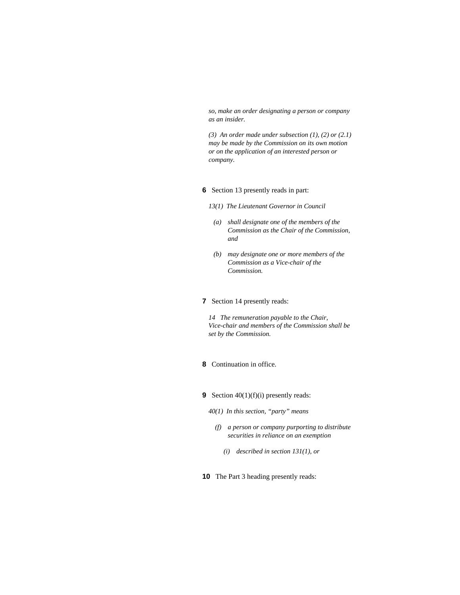*so, make an order designating a person or company as an insider.* 

*(3) An order made under subsection (1), (2) or (2.1) may be made by the Commission on its own motion or on the application of an interested person or company.* 

# **6** Section 13 presently reads in part:

- *13(1) The Lieutenant Governor in Council* 
	- *(a) shall designate one of the members of the Commission as the Chair of the Commission, and*
	- *(b) may designate one or more members of the Commission as a Vice-chair of the Commission.*

#### **7** Section 14 presently reads:

*14 The remuneration payable to the Chair, Vice-chair and members of the Commission shall be set by the Commission.* 

# **8** Continuation in office.

- **9** Section 40(1)(f)(i) presently reads:
	- *40(1) In this section, "party" means* 
		- *(f) a person or company purporting to distribute securities in reliance on an exemption* 
			- *(i) described in section 131(1), or*
- **10** The Part 3 heading presently reads: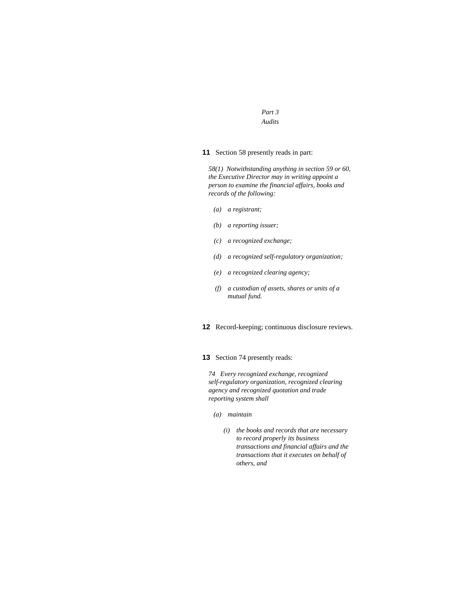*Part 3 Audits* 

**11** Section 58 presently reads in part:

*58(1) Notwithstanding anything in section 59 or 60, the Executive Director may in writing appoint a person to examine the financial affairs, books and records of the following:* 

- *(a) a registrant;*
- *(b) a reporting issuer;*
- *(c) a recognized exchange;*
- *(d) a recognized self-regulatory organization;*
- *(e) a recognized clearing agency;*
- *(f) a custodian of assets, shares or units of a mutual fund.*

**12** Record-keeping; continuous disclosure reviews.

**13** Section 74 presently reads:

*74 Every recognized exchange, recognized self-regulatory organization, recognized clearing agency and recognized quotation and trade reporting system shall* 

- *(a) maintain* 
	- *(i) the books and records that are necessary to record properly its business transactions and financial affairs and the transactions that it executes on behalf of others, and*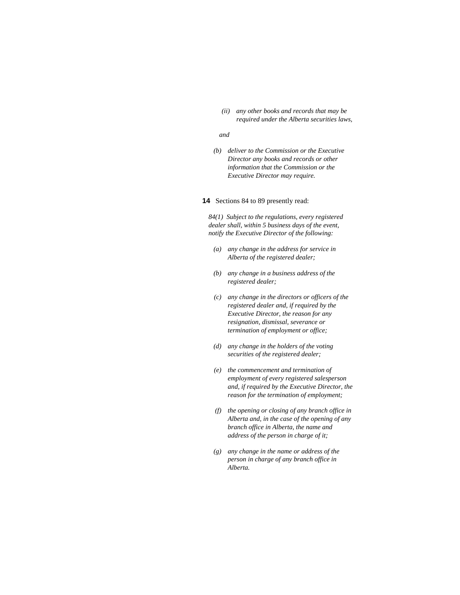*(ii) any other books and records that may be required under the Alberta securities laws,* 

#### *and*

 *(b) deliver to the Commission or the Executive Director any books and records or other information that the Commission or the Executive Director may require.* 

#### **14** Sections 84 to 89 presently read:

*84(1) Subject to the regulations, every registered dealer shall, within 5 business days of the event, notify the Executive Director of the following:* 

- *(a) any change in the address for service in Alberta of the registered dealer;*
- *(b) any change in a business address of the registered dealer;*
- *(c) any change in the directors or officers of the registered dealer and, if required by the Executive Director, the reason for any resignation, dismissal, severance or termination of employment or office;*
- *(d) any change in the holders of the voting securities of the registered dealer;*
- *(e) the commencement and termination of employment of every registered salesperson and, if required by the Executive Director, the reason for the termination of employment;*
- *(f) the opening or closing of any branch office in Alberta and, in the case of the opening of any branch office in Alberta, the name and address of the person in charge of it;*
- *(g) any change in the name or address of the person in charge of any branch office in Alberta.*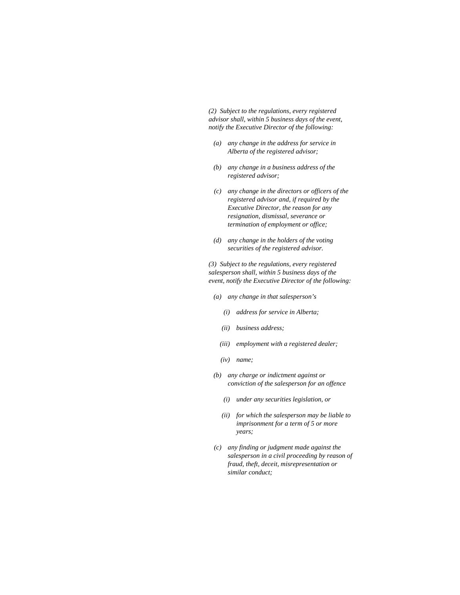*(2) Subject to the regulations, every registered advisor shall, within 5 business days of the event, notify the Executive Director of the following:* 

- *(a) any change in the address for service in Alberta of the registered advisor;*
- *(b) any change in a business address of the registered advisor;*
- *(c) any change in the directors or officers of the registered advisor and, if required by the Executive Director, the reason for any resignation, dismissal, severance or termination of employment or office;*
- *(d) any change in the holders of the voting securities of the registered advisor.*

*(3) Subject to the regulations, every registered salesperson shall, within 5 business days of the event, notify the Executive Director of the following:* 

- *(a) any change in that salesperson's* 
	- *(i) address for service in Alberta;*
	- *(ii) business address;*
	- *(iii) employment with a registered dealer;*
	- *(iv) name;*
- *(b) any charge or indictment against or conviction of the salesperson for an offence* 
	- *(i) under any securities legislation, or*
	- *(ii) for which the salesperson may be liable to imprisonment for a term of 5 or more years;*
- *(c) any finding or judgment made against the salesperson in a civil proceeding by reason of fraud, theft, deceit, misrepresentation or similar conduct;*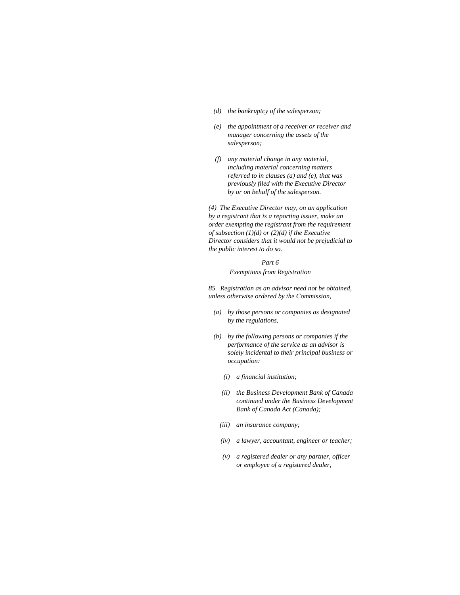- *(d) the bankruptcy of the salesperson;*
- *(e) the appointment of a receiver or receiver and manager concerning the assets of the salesperson;*
- *(f) any material change in any material, including material concerning matters referred to in clauses (a) and (e), that was previously filed with the Executive Director by or on behalf of the salesperson.*

*(4) The Executive Director may, on an application by a registrant that is a reporting issuer, make an order exempting the registrant from the requirement of subsection (1)(d) or (2)(d) if the Executive Director considers that it would not be prejudicial to the public interest to do so.* 

#### *Part 6*

#### *Exemptions from Registration*

*85 Registration as an advisor need not be obtained, unless otherwise ordered by the Commission,* 

- *(a) by those persons or companies as designated by the regulations,*
- *(b) by the following persons or companies if the performance of the service as an advisor is solely incidental to their principal business or occupation:* 
	- *(i) a financial institution;*
	- *(ii) the Business Development Bank of Canada continued under the Business Development Bank of Canada Act (Canada);*
	- *(iii) an insurance company;*
	- *(iv) a lawyer, accountant, engineer or teacher;*
	- *(v) a registered dealer or any partner, officer or employee of a registered dealer,*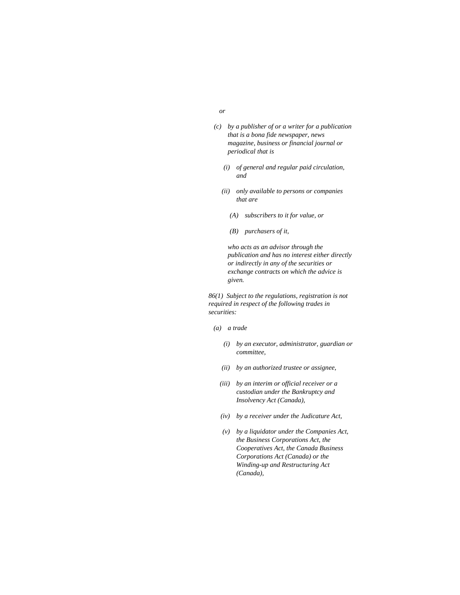- *or* 
	- *(c) by a publisher of or a writer for a publication that is a bona fide newspaper, news magazine, business or financial journal or periodical that is* 
		- *(i) of general and regular paid circulation, and*
		- *(ii) only available to persons or companies that are* 
			- *(A) subscribers to it for value, or*
			- *(B) purchasers of it,*

 *who acts as an advisor through the publication and has no interest either directly or indirectly in any of the securities or exchange contracts on which the advice is given.* 

*86(1) Subject to the regulations, registration is not required in respect of the following trades in securities:* 

- *(a) a trade* 
	- *(i) by an executor, administrator, guardian or committee,*
	- *(ii) by an authorized trustee or assignee,*
	- *(iii) by an interim or official receiver or a custodian under the Bankruptcy and Insolvency Act (Canada),*
	- *(iv) by a receiver under the Judicature Act,*
	- *(v) by a liquidator under the Companies Act, the Business Corporations Act, the Cooperatives Act, the Canada Business Corporations Act (Canada) or the Winding-up and Restructuring Act (Canada),*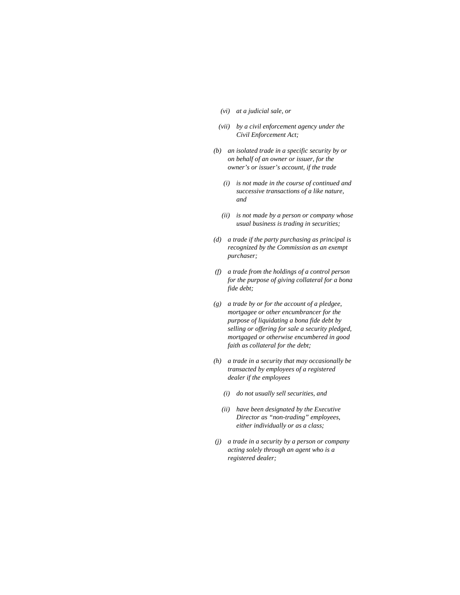- *(vi) at a judicial sale, or*
- *(vii) by a civil enforcement agency under the Civil Enforcement Act;*
- *(b) an isolated trade in a specific security by or on behalf of an owner or issuer, for the owner's or issuer's account, if the trade* 
	- *(i) is not made in the course of continued and successive transactions of a like nature, and*
	- *(ii) is not made by a person or company whose usual business is trading in securities;*
- *(d) a trade if the party purchasing as principal is recognized by the Commission as an exempt purchaser;*
- *(f) a trade from the holdings of a control person for the purpose of giving collateral for a bona fide debt;*
- *(g) a trade by or for the account of a pledgee, mortgagee or other encumbrancer for the purpose of liquidating a bona fide debt by selling or offering for sale a security pledged, mortgaged or otherwise encumbered in good faith as collateral for the debt;*
- *(h) a trade in a security that may occasionally be transacted by employees of a registered dealer if the employees* 
	- *(i) do not usually sell securities, and*
	- *(ii) have been designated by the Executive Director as "non-trading" employees, either individually or as a class;*
- *(j) a trade in a security by a person or company acting solely through an agent who is a registered dealer;*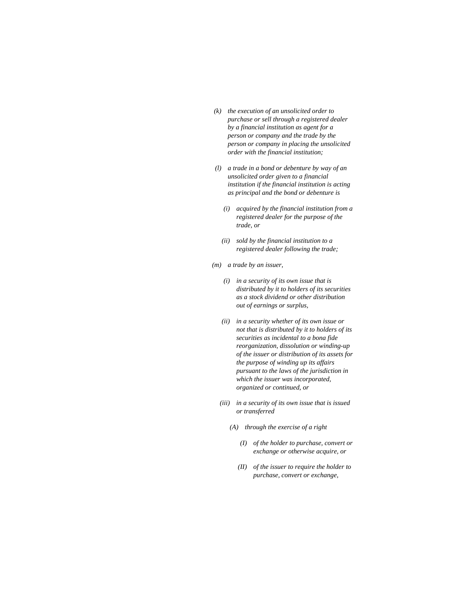- *(k) the execution of an unsolicited order to purchase or sell through a registered dealer by a financial institution as agent for a person or company and the trade by the person or company in placing the unsolicited order with the financial institution;*
- *(l) a trade in a bond or debenture by way of an unsolicited order given to a financial institution if the financial institution is acting as principal and the bond or debenture is* 
	- *(i) acquired by the financial institution from a registered dealer for the purpose of the trade, or*
	- *(ii) sold by the financial institution to a registered dealer following the trade;*
- *(m) a trade by an issuer,* 
	- *(i) in a security of its own issue that is distributed by it to holders of its securities as a stock dividend or other distribution out of earnings or surplus,*
	- *(ii) in a security whether of its own issue or not that is distributed by it to holders of its securities as incidental to a bona fide reorganization, dissolution or winding-up of the issuer or distribution of its assets for the purpose of winding up its affairs pursuant to the laws of the jurisdiction in which the issuer was incorporated, organized or continued, or*
	- *(iii) in a security of its own issue that is issued or transferred* 
		- *(A) through the exercise of a right* 
			- *(I) of the holder to purchase, convert or exchange or otherwise acquire, or*
			- *(II) of the issuer to require the holder to purchase, convert or exchange,*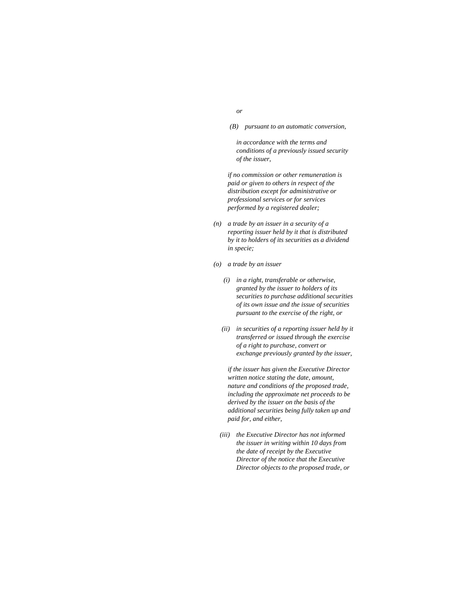- *or* 
	- *(B) pursuant to an automatic conversion,*

 *in accordance with the terms and conditions of a previously issued security of the issuer,* 

 *if no commission or other remuneration is paid or given to others in respect of the distribution except for administrative or professional services or for services performed by a registered dealer;* 

- *(n) a trade by an issuer in a security of a reporting issuer held by it that is distributed by it to holders of its securities as a dividend in specie;*
- *(o) a trade by an issuer* 
	- *(i) in a right, transferable or otherwise, granted by the issuer to holders of its securities to purchase additional securities of its own issue and the issue of securities pursuant to the exercise of the right, or*
	- *(ii) in securities of a reporting issuer held by it transferred or issued through the exercise of a right to purchase, convert or exchange previously granted by the issuer,*

 *if the issuer has given the Executive Director written notice stating the date, amount, nature and conditions of the proposed trade, including the approximate net proceeds to be derived by the issuer on the basis of the additional securities being fully taken up and paid for, and either,* 

 *(iii) the Executive Director has not informed the issuer in writing within 10 days from the date of receipt by the Executive Director of the notice that the Executive Director objects to the proposed trade, or*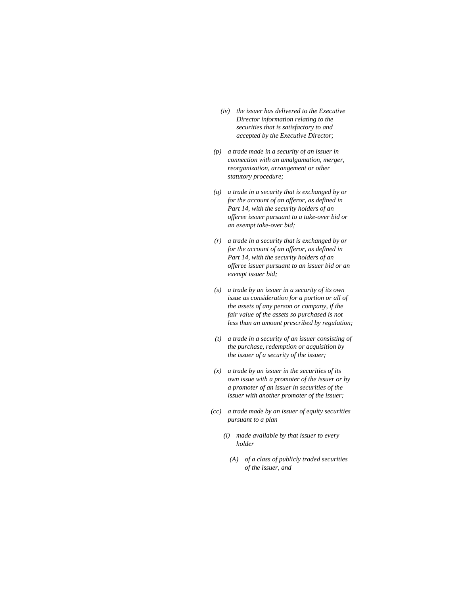- *(iv) the issuer has delivered to the Executive Director information relating to the securities that is satisfactory to and accepted by the Executive Director;*
- *(p) a trade made in a security of an issuer in connection with an amalgamation, merger, reorganization, arrangement or other statutory procedure;*
- *(q) a trade in a security that is exchanged by or for the account of an offeror, as defined in Part 14, with the security holders of an offeree issuer pursuant to a take-over bid or an exempt take-over bid;*
- *(r) a trade in a security that is exchanged by or for the account of an offeror, as defined in Part 14, with the security holders of an offeree issuer pursuant to an issuer bid or an exempt issuer bid;*
- *(s) a trade by an issuer in a security of its own issue as consideration for a portion or all of the assets of any person or company, if the fair value of the assets so purchased is not less than an amount prescribed by regulation;*
- *(t) a trade in a security of an issuer consisting of the purchase, redemption or acquisition by the issuer of a security of the issuer;*
- *(x) a trade by an issuer in the securities of its own issue with a promoter of the issuer or by a promoter of an issuer in securities of the issuer with another promoter of the issuer;*
- *(cc) a trade made by an issuer of equity securities pursuant to a plan* 
	- *(i) made available by that issuer to every holder* 
		- *(A) of a class of publicly traded securities of the issuer, and*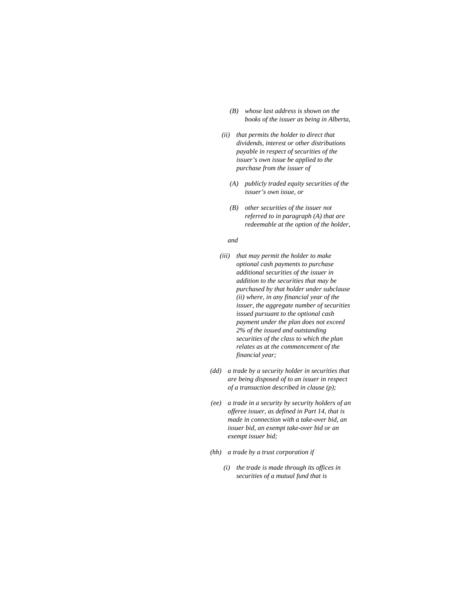- *(B) whose last address is shown on the books of the issuer as being in Alberta,*
- *(ii) that permits the holder to direct that dividends, interest or other distributions payable in respect of securities of the issuer's own issue be applied to the purchase from the issuer of* 
	- *(A) publicly traded equity securities of the issuer's own issue, or*
	- *(B) other securities of the issuer not referred to in paragraph (A) that are redeemable at the option of the holder,*

 *and* 

- *(iii) that may permit the holder to make optional cash payments to purchase additional securities of the issuer in addition to the securities that may be purchased by that holder under subclause (ii) where, in any financial year of the issuer, the aggregate number of securities issued pursuant to the optional cash payment under the plan does not exceed 2% of the issued and outstanding securities of the class to which the plan relates as at the commencement of the financial year;*
- *(dd) a trade by a security holder in securities that are being disposed of to an issuer in respect of a transaction described in clause (p);*
- *(ee) a trade in a security by security holders of an offeree issuer, as defined in Part 14, that is made in connection with a take-over bid, an issuer bid, an exempt take-over bid or an exempt issuer bid;*
- *(hh) a trade by a trust corporation if* 
	- *(i) the trade is made through its offices in securities of a mutual fund that is*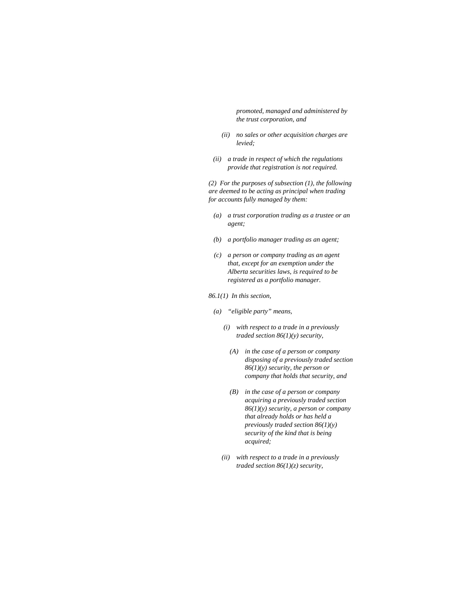*promoted, managed and administered by the trust corporation, and* 

- *(ii) no sales or other acquisition charges are levied;*
- *(ii) a trade in respect of which the regulations provide that registration is not required.*

*(2) For the purposes of subsection (1), the following are deemed to be acting as principal when trading for accounts fully managed by them:* 

- *(a) a trust corporation trading as a trustee or an agent;*
- *(b) a portfolio manager trading as an agent;*
- *(c) a person or company trading as an agent that, except for an exemption under the Alberta securities laws, is required to be registered as a portfolio manager.*
- *86.1(1) In this section,* 
	- *(a) "eligible party" means,* 
		- *(i) with respect to a trade in a previously traded section 86(1)(y) security,* 
			- *(A) in the case of a person or company disposing of a previously traded section 86(1)(y) security, the person or company that holds that security, and*
			- *(B) in the case of a person or company acquiring a previously traded section 86(1)(y) security, a person or company that already holds or has held a previously traded section 86(1)(y) security of the kind that is being acquired;*
		- *(ii) with respect to a trade in a previously traded section 86(1)(z) security,*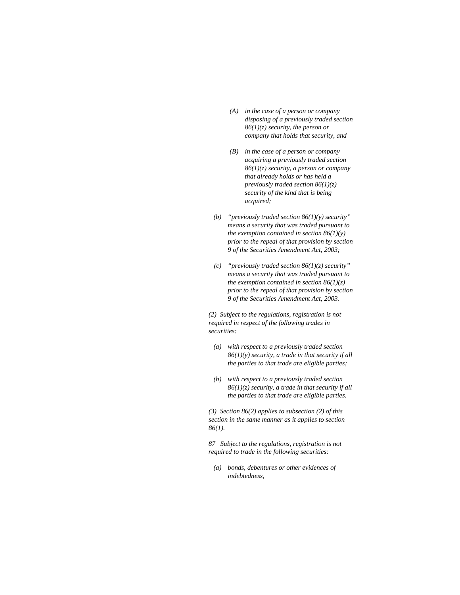- *(A) in the case of a person or company disposing of a previously traded section 86(1)(z) security, the person or company that holds that security, and*
- *(B) in the case of a person or company acquiring a previously traded section 86(1)(z) security, a person or company that already holds or has held a previously traded section 86(1)(z) security of the kind that is being acquired;*
- *(b) "previously traded section 86(1)(y) security" means a security that was traded pursuant to the exemption contained in section 86(1)(y) prior to the repeal of that provision by section 9 of the Securities Amendment Act, 2003;*
- *(c) "previously traded section 86(1)(z) security" means a security that was traded pursuant to the exemption contained in section 86(1)(z) prior to the repeal of that provision by section 9 of the Securities Amendment Act, 2003.*

*(2) Subject to the regulations, registration is not required in respect of the following trades in securities:* 

- *(a) with respect to a previously traded section 86(1)(y) security, a trade in that security if all the parties to that trade are eligible parties;*
- *(b) with respect to a previously traded section 86(1)(z) security, a trade in that security if all the parties to that trade are eligible parties.*

*(3) Section 86(2) applies to subsection (2) of this section in the same manner as it applies to section 86(1).* 

*87 Subject to the regulations, registration is not required to trade in the following securities:* 

 *(a) bonds, debentures or other evidences of indebtedness,*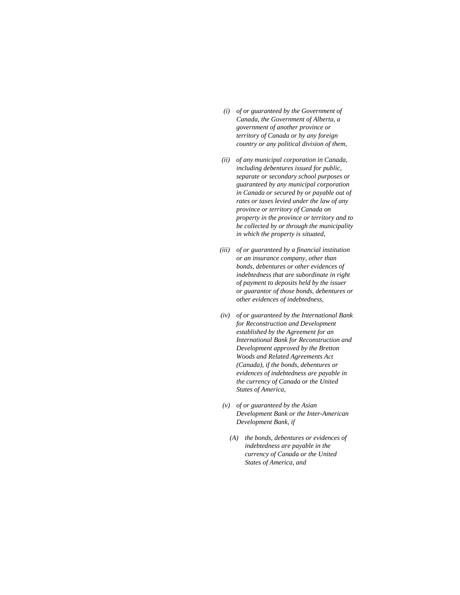- *(i) of or guaranteed by the Government of Canada, the Government of Alberta, a government of another province or territory of Canada or by any foreign country or any political division of them,*
- *(ii) of any municipal corporation in Canada, including debentures issued for public, separate or secondary school purposes or guaranteed by any municipal corporation in Canada or secured by or payable out of rates or taxes levied under the law of any province or territory of Canada on property in the province or territory and to be collected by or through the municipality in which the property is situated,*
- *(iii) of or guaranteed by a financial institution or an insurance company, other than bonds, debentures or other evidences of indebtedness that are subordinate in right of payment to deposits held by the issuer or guarantor of those bonds, debentures or other evidences of indebtedness,*
- *(iv) of or guaranteed by the International Bank for Reconstruction and Development established by the Agreement for an International Bank for Reconstruction and Development approved by the Bretton Woods and Related Agreements Act (Canada), if the bonds, debentures or evidences of indebtedness are payable in the currency of Canada or the United States of America,*
- *(v) of or guaranteed by the Asian Development Bank or the Inter-American Development Bank, if* 
	- *(A) the bonds, debentures or evidences of indebtedness are payable in the currency of Canada or the United States of America, and*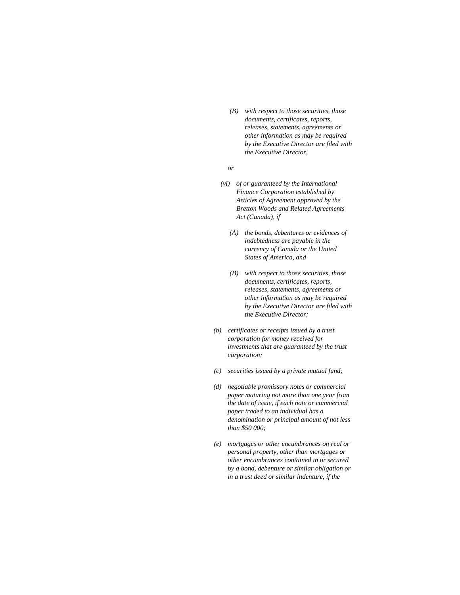*(B) with respect to those securities, those documents, certificates, reports, releases, statements, agreements or other information as may be required by the Executive Director are filed with the Executive Director,* 

 *or* 

- *(vi) of or guaranteed by the International Finance Corporation established by Articles of Agreement approved by the Bretton Woods and Related Agreements Act (Canada), if* 
	- *(A) the bonds, debentures or evidences of indebtedness are payable in the currency of Canada or the United States of America, and*
	- *(B) with respect to those securities, those documents, certificates, reports, releases, statements, agreements or other information as may be required by the Executive Director are filed with the Executive Director;*
- *(b) certificates or receipts issued by a trust corporation for money received for investments that are guaranteed by the trust corporation;*
- *(c) securities issued by a private mutual fund;*
- *(d) negotiable promissory notes or commercial paper maturing not more than one year from the date of issue, if each note or commercial paper traded to an individual has a denomination or principal amount of not less than \$50 000;*
- *(e) mortgages or other encumbrances on real or personal property, other than mortgages or other encumbrances contained in or secured by a bond, debenture or similar obligation or in a trust deed or similar indenture, if the*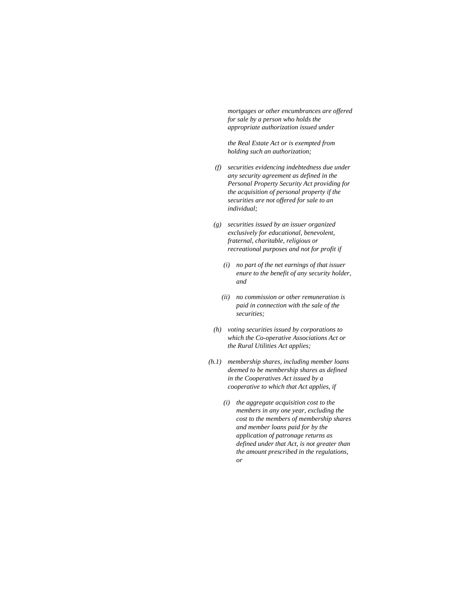*mortgages or other encumbrances are offered for sale by a person who holds the appropriate authorization issued under* 

 *the Real Estate Act or is exempted from holding such an authorization;* 

- *(f) securities evidencing indebtedness due under any security agreement as defined in the Personal Property Security Act providing for the acquisition of personal property if the securities are not offered for sale to an individual;*
- *(g) securities issued by an issuer organized exclusively for educational, benevolent, fraternal, charitable, religious or recreational purposes and not for profit if* 
	- *(i) no part of the net earnings of that issuer enure to the benefit of any security holder, and*
	- *(ii) no commission or other remuneration is paid in connection with the sale of the securities;*
- *(h) voting securities issued by corporations to which the Co-operative Associations Act or the Rural Utilities Act applies;*
- *(h.1) membership shares, including member loans deemed to be membership shares as defined in the Cooperatives Act issued by a cooperative to which that Act applies, if* 
	- *(i) the aggregate acquisition cost to the members in any one year, excluding the cost to the members of membership shares and member loans paid for by the application of patronage returns as defined under that Act, is not greater than the amount prescribed in the regulations, or*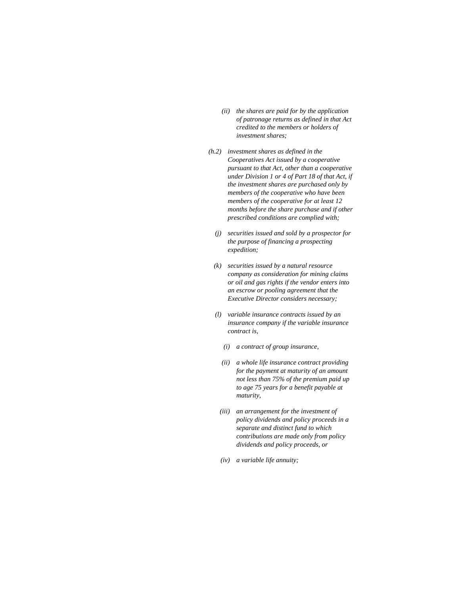- *(ii) the shares are paid for by the application of patronage returns as defined in that Act credited to the members or holders of investment shares;*
- *(h.2) investment shares as defined in the Cooperatives Act issued by a cooperative pursuant to that Act, other than a cooperative under Division 1 or 4 of Part 18 of that Act, if the investment shares are purchased only by members of the cooperative who have been members of the cooperative for at least 12 months before the share purchase and if other prescribed conditions are complied with;* 
	- *(j) securities issued and sold by a prospector for the purpose of financing a prospecting expedition;*
	- *(k) securities issued by a natural resource company as consideration for mining claims or oil and gas rights if the vendor enters into an escrow or pooling agreement that the Executive Director considers necessary;*
	- *(l) variable insurance contracts issued by an insurance company if the variable insurance contract is,* 
		- *(i) a contract of group insurance,*
		- *(ii) a whole life insurance contract providing for the payment at maturity of an amount not less than 75% of the premium paid up to age 75 years for a benefit payable at maturity,*
	- *(iii) an arrangement for the investment of policy dividends and policy proceeds in a separate and distinct fund to which contributions are made only from policy dividends and policy proceeds, or*
	- *(iv) a variable life annuity;*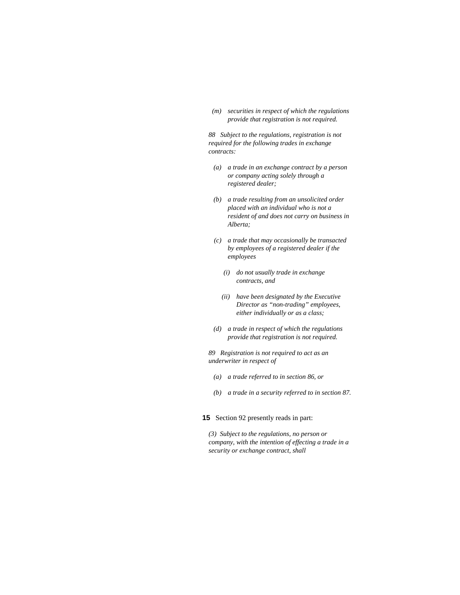*(m) securities in respect of which the regulations provide that registration is not required.* 

*88 Subject to the regulations, registration is not required for the following trades in exchange contracts:* 

- *(a) a trade in an exchange contract by a person or company acting solely through a registered dealer;*
- *(b) a trade resulting from an unsolicited order placed with an individual who is not a resident of and does not carry on business in Alberta;*
- *(c) a trade that may occasionally be transacted by employees of a registered dealer if the employees* 
	- *(i) do not usually trade in exchange contracts, and*
	- *(ii) have been designated by the Executive Director as "non-trading" employees, either individually or as a class;*
- *(d) a trade in respect of which the regulations provide that registration is not required.*

*89 Registration is not required to act as an underwriter in respect of* 

- *(a) a trade referred to in section 86, or*
- *(b) a trade in a security referred to in section 87.*
- **15** Section 92 presently reads in part:

*(3) Subject to the regulations, no person or company, with the intention of effecting a trade in a security or exchange contract, shall*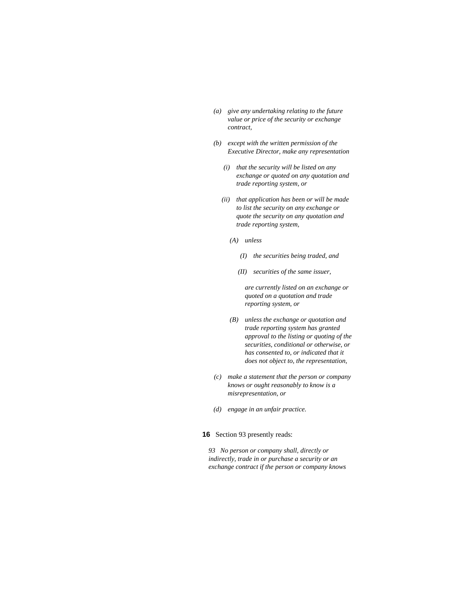- *(a) give any undertaking relating to the future value or price of the security or exchange contract,*
- *(b) except with the written permission of the Executive Director, make any representation* 
	- *(i) that the security will be listed on any exchange or quoted on any quotation and trade reporting system, or*
	- *(ii) that application has been or will be made to list the security on any exchange or quote the security on any quotation and trade reporting system,* 
		- *(A) unless* 
			- *(I) the securities being traded, and*
			- *(II) securities of the same issuer,*

 *are currently listed on an exchange or quoted on a quotation and trade reporting system, or* 

- *(B) unless the exchange or quotation and trade reporting system has granted approval to the listing or quoting of the securities, conditional or otherwise, or has consented to, or indicated that it does not object to, the representation,*
- *(c) make a statement that the person or company knows or ought reasonably to know is a misrepresentation, or*
- *(d) engage in an unfair practice.*

# **16** Section 93 presently reads:

*93 No person or company shall, directly or indirectly, trade in or purchase a security or an exchange contract if the person or company knows*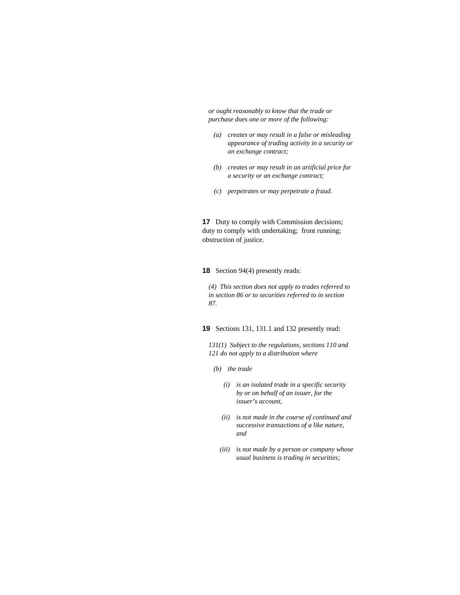*or ought reasonably to know that the trade or purchase does one or more of the following:* 

- *(a) creates or may result in a false or misleading appearance of trading activity in a security or an exchange contract;*
- *(b) creates or may result in an artificial price for a security or an exchange contract;*
- *(c) perpetrates or may perpetrate a fraud.*

**17** Duty to comply with Commission decisions; duty to comply with undertaking; front running; obstruction of justice.

**18** Section 94(4) presently reads:

*(4) This section does not apply to trades referred to in section 86 or to securities referred to in section 87.* 

**19** Sections 131, 131.1 and 132 presently read:

*131(1) Subject to the regulations, sections 110 and 121 do not apply to a distribution where* 

- *(b) the trade* 
	- *(i) is an isolated trade in a specific security by or on behalf of an issuer, for the issuer's account,*
	- *(ii) is not made in the course of continued and successive transactions of a like nature, and*
	- *(iii) is not made by a person or company whose usual business is trading in securities;*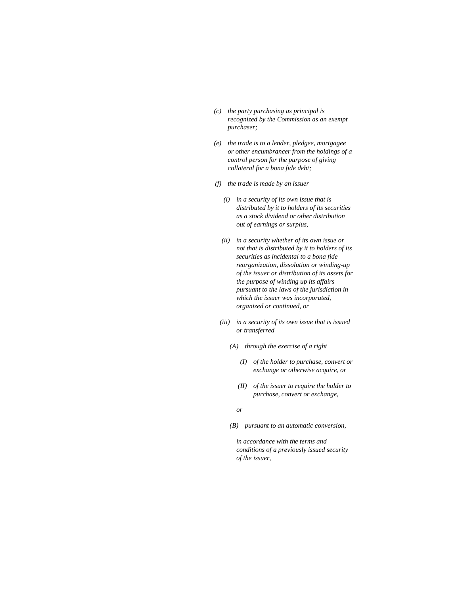- *(c) the party purchasing as principal is recognized by the Commission as an exempt purchaser;*
- *(e) the trade is to a lender, pledgee, mortgagee or other encumbrancer from the holdings of a control person for the purpose of giving collateral for a bona fide debt;*
- *(f) the trade is made by an issuer* 
	- *(i) in a security of its own issue that is distributed by it to holders of its securities as a stock dividend or other distribution out of earnings or surplus,*
	- *(ii) in a security whether of its own issue or not that is distributed by it to holders of its securities as incidental to a bona fide reorganization, dissolution or winding-up of the issuer or distribution of its assets for the purpose of winding up its affairs pursuant to the laws of the jurisdiction in which the issuer was incorporated, organized or continued, or*
	- *(iii) in a security of its own issue that is issued or transferred* 
		- *(A) through the exercise of a right* 
			- *(I) of the holder to purchase, convert or exchange or otherwise acquire, or*
			- *(II) of the issuer to require the holder to purchase, convert or exchange,*

 *or* 

 *(B) pursuant to an automatic conversion,* 

 *in accordance with the terms and conditions of a previously issued security of the issuer,*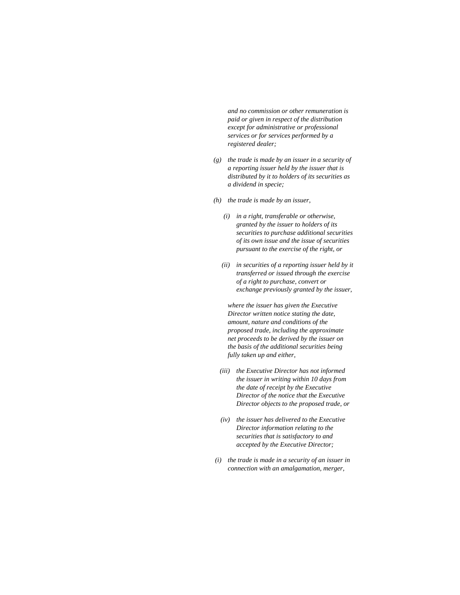*and no commission or other remuneration is paid or given in respect of the distribution except for administrative or professional services or for services performed by a registered dealer;* 

- *(g) the trade is made by an issuer in a security of a reporting issuer held by the issuer that is distributed by it to holders of its securities as a dividend in specie;*
- *(h) the trade is made by an issuer,* 
	- *(i) in a right, transferable or otherwise, granted by the issuer to holders of its securities to purchase additional securities of its own issue and the issue of securities pursuant to the exercise of the right, or*
	- *(ii) in securities of a reporting issuer held by it transferred or issued through the exercise of a right to purchase, convert or exchange previously granted by the issuer,*

 *where the issuer has given the Executive Director written notice stating the date, amount, nature and conditions of the proposed trade, including the approximate net proceeds to be derived by the issuer on the basis of the additional securities being fully taken up and either,* 

- *(iii) the Executive Director has not informed the issuer in writing within 10 days from the date of receipt by the Executive Director of the notice that the Executive Director objects to the proposed trade, or*
- *(iv) the issuer has delivered to the Executive Director information relating to the securities that is satisfactory to and accepted by the Executive Director;*
- *(i) the trade is made in a security of an issuer in connection with an amalgamation, merger,*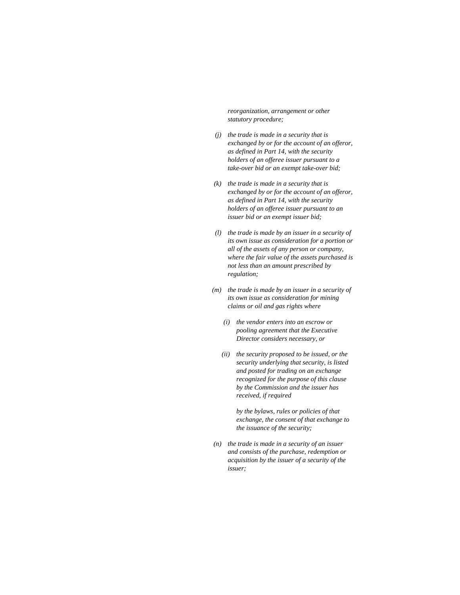*reorganization, arrangement or other statutory procedure;* 

- *(j) the trade is made in a security that is exchanged by or for the account of an offeror, as defined in Part 14, with the security holders of an offeree issuer pursuant to a take-over bid or an exempt take-over bid;*
- *(k) the trade is made in a security that is exchanged by or for the account of an offeror, as defined in Part 14, with the security holders of an offeree issuer pursuant to an issuer bid or an exempt issuer bid;*
- *(l) the trade is made by an issuer in a security of its own issue as consideration for a portion or all of the assets of any person or company, where the fair value of the assets purchased is not less than an amount prescribed by regulation;*
- *(m) the trade is made by an issuer in a security of its own issue as consideration for mining claims or oil and gas rights where* 
	- *(i) the vendor enters into an escrow or pooling agreement that the Executive Director considers necessary, or*
	- *(ii) the security proposed to be issued, or the security underlying that security, is listed and posted for trading on an exchange recognized for the purpose of this clause by the Commission and the issuer has received, if required*

 *by the bylaws, rules or policies of that exchange, the consent of that exchange to the issuance of the security;* 

 *(n) the trade is made in a security of an issuer and consists of the purchase, redemption or acquisition by the issuer of a security of the issuer;*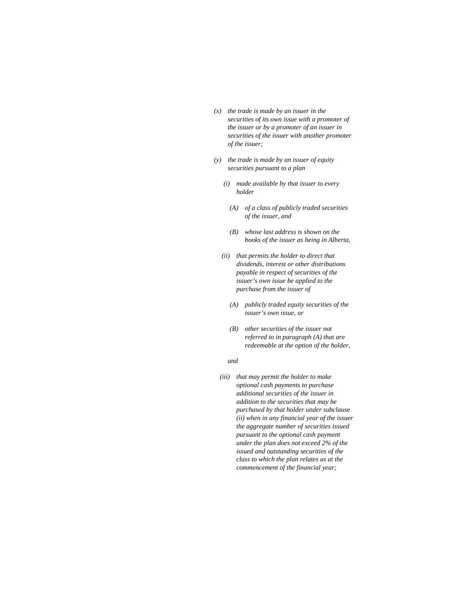- *(x) the trade is made by an issuer in the securities of its own issue with a promoter of the issuer or by a promoter of an issuer in securities of the issuer with another promoter of the issuer;*
- *(y) the trade is made by an issuer of equity securities pursuant to a plan* 
	- *(i) made available by that issuer to every holder* 
		- *(A) of a class of publicly traded securities of the issuer, and*
		- *(B) whose last address is shown on the books of the issuer as being in Alberta,*
	- *(ii) that permits the holder to direct that dividends, interest or other distributions payable in respect of securities of the issuer's own issue be applied to the purchase from the issuer of* 
		- *(A) publicly traded equity securities of the issuer's own issue, or*
		- *(B) other securities of the issuer not referred to in paragraph (A) that are redeemable at the option of the holder,*

 *and* 

*(iii) that may permit the holder to make optional cash payments to purchase additional securities of the issuer in addition to the securities that may be purchased by that holder under subclause (ii) when in any financial year of the issuer the aggregate number of securities issued pursuant to the optional cash payment under the plan does not exceed 2% of the issued and outstanding securities of the class to which the plan relates as at the commencement of the financial year;*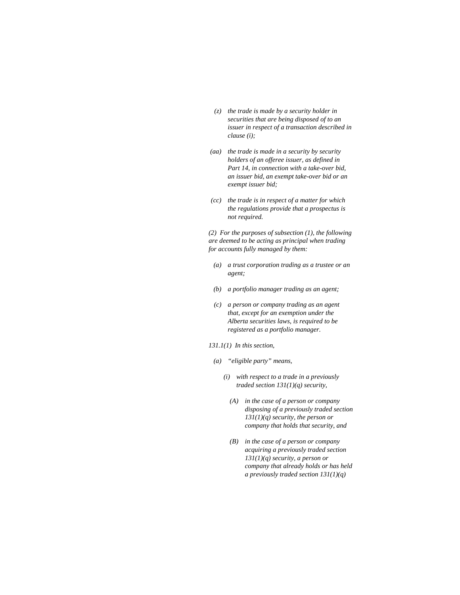- *(z) the trade is made by a security holder in securities that are being disposed of to an issuer in respect of a transaction described in clause (i);*
- *(aa) the trade is made in a security by security holders of an offeree issuer, as defined in Part 14, in connection with a take-over bid, an issuer bid, an exempt take-over bid or an exempt issuer bid;*
- *(cc) the trade is in respect of a matter for which the regulations provide that a prospectus is not required.*

*(2) For the purposes of subsection (1), the following are deemed to be acting as principal when trading for accounts fully managed by them:* 

- *(a) a trust corporation trading as a trustee or an agent;*
- *(b) a portfolio manager trading as an agent;*
- *(c) a person or company trading as an agent that, except for an exemption under the Alberta securities laws, is required to be registered as a portfolio manager.*
- *131.1(1) In this section,* 
	- *(a) "eligible party" means,* 
		- *(i) with respect to a trade in a previously traded section 131(1)(q) security,* 
			- *(A) in the case of a person or company disposing of a previously traded section 131(1)(q) security, the person or company that holds that security, and*
			- *(B) in the case of a person or company acquiring a previously traded section 131(1)(q) security, a person or company that already holds or has held a previously traded section 131(1)(q)*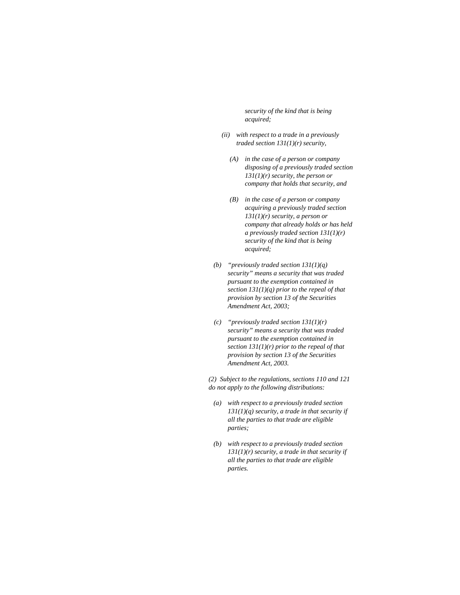*security of the kind that is being acquired;* 

- *(ii) with respect to a trade in a previously traded section 131(1)(r) security,* 
	- *(A) in the case of a person or company disposing of a previously traded section 131(1)(r) security, the person or company that holds that security, and*
	- *(B) in the case of a person or company acquiring a previously traded section 131(1)(r) security, a person or company that already holds or has held a previously traded section 131(1)(r) security of the kind that is being acquired;*
- *(b) "previously traded section 131(1)(q) security" means a security that was traded pursuant to the exemption contained in section 131(1)(q) prior to the repeal of that provision by section 13 of the Securities Amendment Act, 2003;*
- *(c) "previously traded section 131(1)(r) security" means a security that was traded pursuant to the exemption contained in section 131(1)(r) prior to the repeal of that provision by section 13 of the Securities Amendment Act, 2003.*

*(2) Subject to the regulations, sections 110 and 121 do not apply to the following distributions:* 

- *(a) with respect to a previously traded section 131(1)(q) security, a trade in that security if all the parties to that trade are eligible parties;*
- *(b) with respect to a previously traded section 131(1)(r) security, a trade in that security if all the parties to that trade are eligible parties.*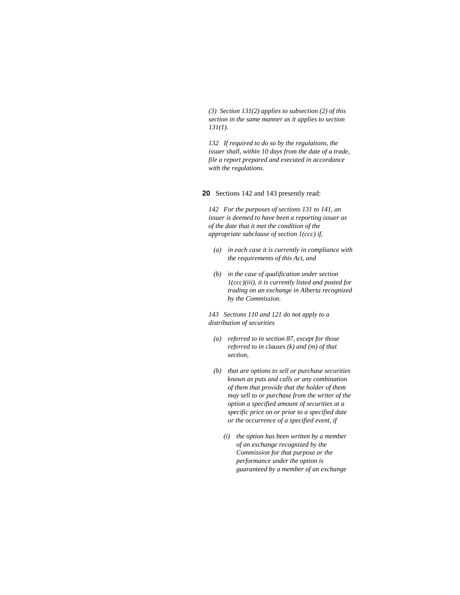*(3) Section 131(2) applies to subsection (2) of this section in the same manner as it applies to section 131(1).* 

*132 If required to do so by the regulations, the issuer shall, within 10 days from the date of a trade, file a report prepared and executed in accordance with the regulations.* 

**20** Sections 142 and 143 presently read:

*142 For the purposes of sections 131 to 141, an issuer is deemed to have been a reporting issuer as of the date that it met the condition of the appropriate subclause of section 1(ccc) if,* 

- *(a) in each case it is currently in compliance with the requirements of this Act, and*
- *(b) in the case of qualification under section 1(ccc)(iii), it is currently listed and posted for trading on an exchange in Alberta recognized by the Commission.*

*143 Sections 110 and 121 do not apply to a distribution of securities* 

- *(a) referred to in section 87, except for those referred to in clauses (k) and (m) of that section,*
- *(b) that are options to sell or purchase securities known as puts and calls or any combination of them that provide that the holder of them may sell to or purchase from the writer of the option a specified amount of securities at a specific price on or prior to a specified date or the occurrence of a specified event, if* 
	- *(i) the option has been written by a member of an exchange recognized by the Commission for that purpose or the performance under the option is guaranteed by a member of an exchange*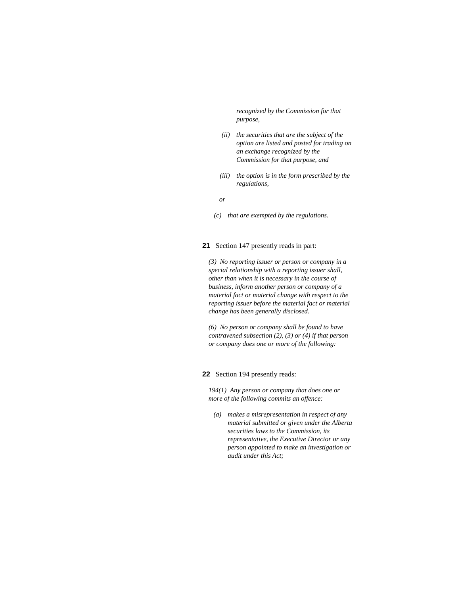*recognized by the Commission for that purpose,* 

- *(ii) the securities that are the subject of the option are listed and posted for trading on an exchange recognized by the Commission for that purpose, and*
- *(iii) the option is in the form prescribed by the regulations,*

 *or* 

 *(c) that are exempted by the regulations.* 

# **21** Section 147 presently reads in part:

*(3) No reporting issuer or person or company in a special relationship with a reporting issuer shall, other than when it is necessary in the course of business, inform another person or company of a material fact or material change with respect to the reporting issuer before the material fact or material change has been generally disclosed.* 

*(6) No person or company shall be found to have contravened subsection (2), (3) or (4) if that person or company does one or more of the following:* 

# **22** Section 194 presently reads:

*194(1) Any person or company that does one or more of the following commits an offence:* 

 *(a) makes a misrepresentation in respect of any material submitted or given under the Alberta securities laws to the Commission, its representative, the Executive Director or any person appointed to make an investigation or audit under this Act;*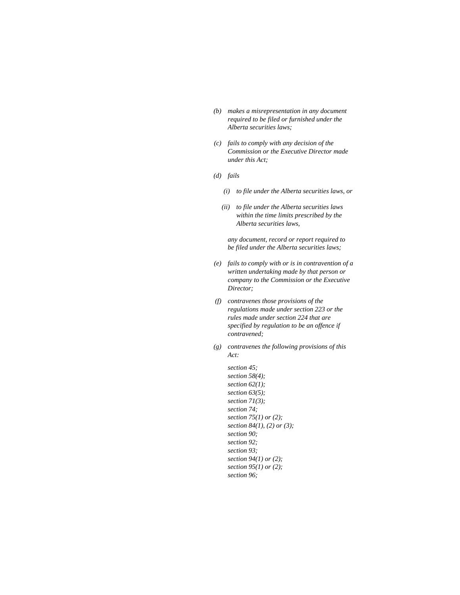- *(b) makes a misrepresentation in any document required to be filed or furnished under the Alberta securities laws;*
- *(c) fails to comply with any decision of the Commission or the Executive Director made under this Act;*
- *(d) fails* 
	- *(i) to file under the Alberta securities laws, or*
	- *(ii) to file under the Alberta securities laws within the time limits prescribed by the Alberta securities laws,*

 *any document, record or report required to be filed under the Alberta securities laws;* 

- *(e) fails to comply with or is in contravention of a written undertaking made by that person or company to the Commission or the Executive Director;*
- *(f) contravenes those provisions of the regulations made under section 223 or the rules made under section 224 that are specified by regulation to be an offence if contravened;*
- *(g) contravenes the following provisions of this Act:*

 *section 45; section 58(4); section 62(1); section 63(5); section 71(3); section 74; section 75(1) or (2); section 84(1), (2) or (3); section 90; section 92; section 93; section 94(1) or (2); section 95(1) or (2); section 96;*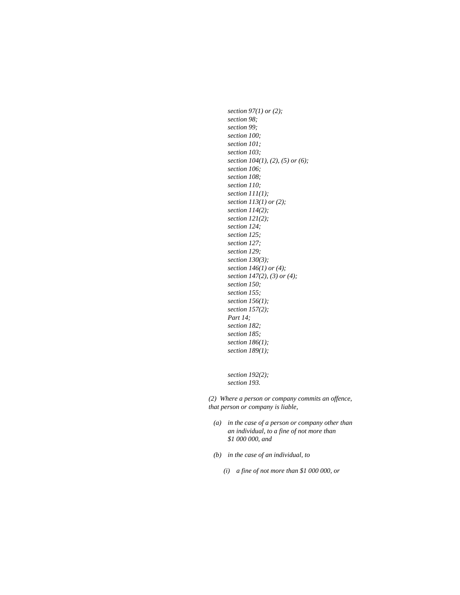*section 97(1) or (2); section 98; section 99; section 100; section 101; section 103; section 104(1), (2), (5) or (6); section 106; section 108; section 110; section 111(1); section 113(1) or (2); section 114(2); section 121(2); section 124; section 125; section 127; section 129; section 130(3); section 146(1) or (4); section 147(2), (3) or (4); section 150; section 155; section 156(1); section 157(2); Part 14; section 182; section 185; section 186(1); section 189(1);* 

 *section 192(2); section 193.* 

*(2) Where a person or company commits an offence, that person or company is liable,* 

- *(a) in the case of a person or company other than an individual, to a fine of not more than \$1 000 000, and*
- *(b) in the case of an individual, to* 
	- *(i) a fine of not more than \$1 000 000, or*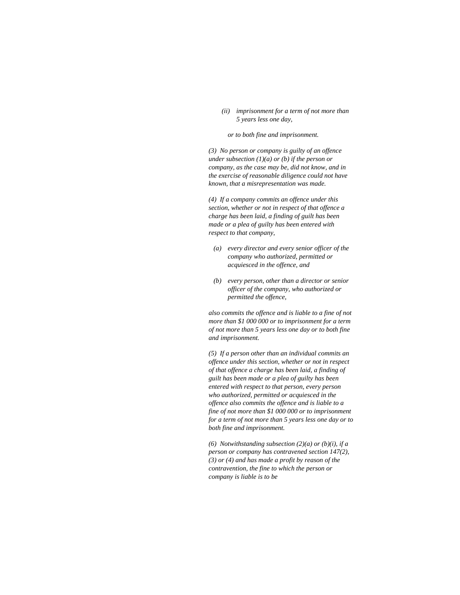*(ii) imprisonment for a term of not more than 5 years less one day,* 

 *or to both fine and imprisonment.* 

*(3) No person or company is guilty of an offence under subsection (1)(a) or (b) if the person or company, as the case may be, did not know, and in the exercise of reasonable diligence could not have known, that a misrepresentation was made.* 

*(4) If a company commits an offence under this section, whether or not in respect of that offence a charge has been laid, a finding of guilt has been made or a plea of guilty has been entered with respect to that company,* 

- *(a) every director and every senior officer of the company who authorized, permitted or acquiesced in the offence, and*
- *(b) every person, other than a director or senior officer of the company, who authorized or permitted the offence,*

*also commits the offence and is liable to a fine of not more than \$1 000 000 or to imprisonment for a term of not more than 5 years less one day or to both fine and imprisonment.* 

*(5) If a person other than an individual commits an offence under this section, whether or not in respect of that offence a charge has been laid, a finding of guilt has been made or a plea of guilty has been entered with respect to that person, every person who authorized, permitted or acquiesced in the offence also commits the offence and is liable to a fine of not more than \$1 000 000 or to imprisonment for a term of not more than 5 years less one day or to both fine and imprisonment.* 

*(6) Notwithstanding subsection (2)(a) or (b)(i), if a person or company has contravened section 147(2), (3) or (4) and has made a profit by reason of the contravention, the fine to which the person or company is liable is to be*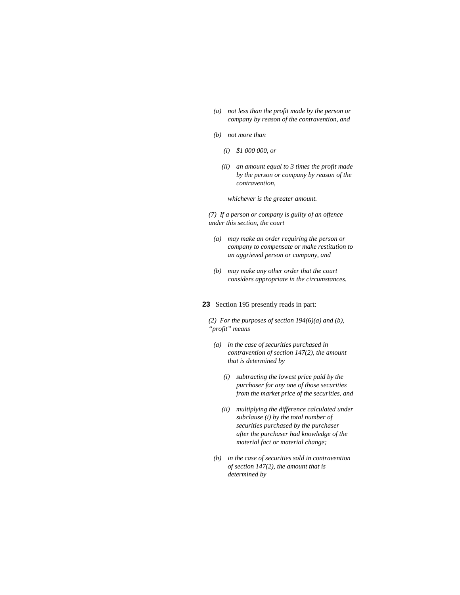- *(a) not less than the profit made by the person or company by reason of the contravention, and*
- *(b) not more than* 
	- *(i) \$1 000 000, or*
	- *(ii) an amount equal to 3 times the profit made by the person or company by reason of the contravention,*

 *whichever is the greater amount.* 

*(7) If a person or company is guilty of an offence under this section, the court* 

- *(a) may make an order requiring the person or company to compensate or make restitution to an aggrieved person or company, and*
- *(b) may make any other order that the court considers appropriate in the circumstances.*

# **23** Section 195 presently reads in part:

*(2) For the purposes of section 194(6)(a) and (b), "profit" means* 

- *(a) in the case of securities purchased in contravention of section 147(2), the amount that is determined by* 
	- *(i) subtracting the lowest price paid by the purchaser for any one of those securities from the market price of the securities, and*
	- *(ii) multiplying the difference calculated under subclause (i) by the total number of securities purchased by the purchaser after the purchaser had knowledge of the material fact or material change;*
- *(b) in the case of securities sold in contravention of section 147(2), the amount that is determined by*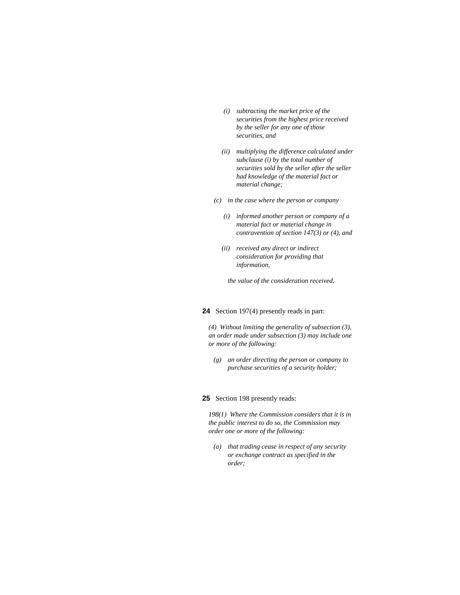- *(i) subtracting the market price of the securities from the highest price received by the seller for any one of those securities, and*
- *(ii) multiplying the difference calculated under subclause (i) by the total number of securities sold by the seller after the seller had knowledge of the material fact or material change;*
- *(c) in the case where the person or company* 
	- *(i) informed another person or company of a material fact or material change in contravention of section 147(3) or (4), and*
	- *(ii) received any direct or indirect consideration for providing that information,*

 *the value of the consideration received.* 

# **24** Section 197(4) presently reads in part:

*(4) Without limiting the generality of subsection (3), an order made under subsection (3) may include one or more of the following:* 

 *(g) an order directing the person or company to purchase securities of a security holder;* 

#### **25** Section 198 presently reads:

*198(1) Where the Commission considers that it is in the public interest to do so, the Commission may order one or more of the following:* 

 *(a) that trading cease in respect of any security or exchange contract as specified in the order;*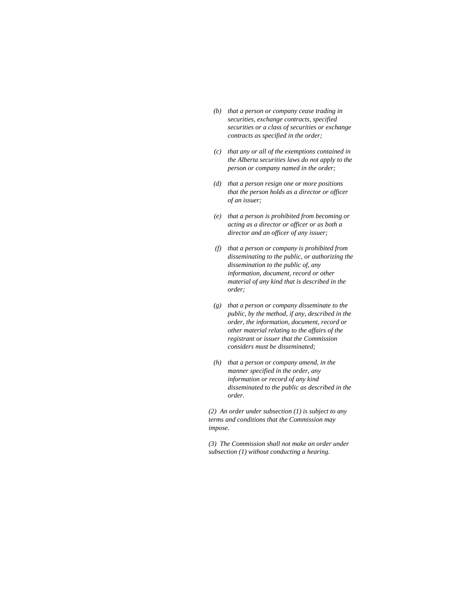- *(b) that a person or company cease trading in securities, exchange contracts, specified securities or a class of securities or exchange contracts as specified in the order;*
- *(c) that any or all of the exemptions contained in the Alberta securities laws do not apply to the person or company named in the order;*
- *(d) that a person resign one or more positions that the person holds as a director or officer of an issuer;*
- *(e) that a person is prohibited from becoming or acting as a director or officer or as both a director and an officer of any issuer;*
- *(f) that a person or company is prohibited from disseminating to the public, or authorizing the dissemination to the public of, any information, document, record or other material of any kind that is described in the order;*
- *(g) that a person or company disseminate to the public, by the method, if any, described in the order, the information, document, record or other material relating to the affairs of the registrant or issuer that the Commission considers must be disseminated;*
- *(h) that a person or company amend, in the manner specified in the order, any information or record of any kind disseminated to the public as described in the order.*

*(2) An order under subsection (1) is subject to any terms and conditions that the Commission may impose.* 

*(3) The Commission shall not make an order under subsection (1) without conducting a hearing.*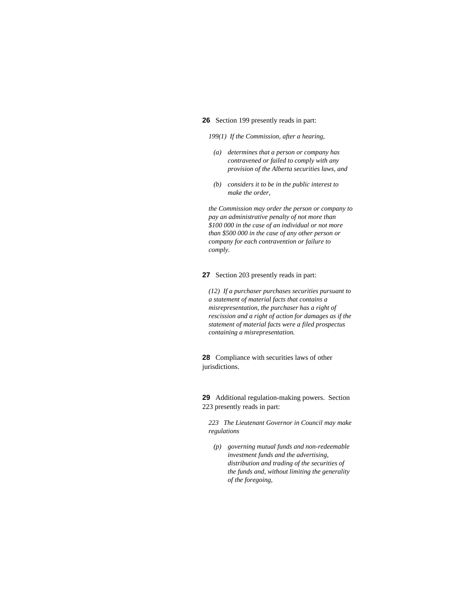# **26** Section 199 presently reads in part:

*199(1) If the Commission, after a hearing,* 

- *(a) determines that a person or company has contravened or failed to comply with any provision of the Alberta securities laws, and*
- *(b) considers it to be in the public interest to make the order,*

*the Commission may order the person or company to pay an administrative penalty of not more than \$100 000 in the case of an individual or not more than \$500 000 in the case of any other person or company for each contravention or failure to comply.* 

**27** Section 203 presently reads in part:

*(12) If a purchaser purchases securities pursuant to a statement of material facts that contains a misrepresentation, the purchaser has a right of rescission and a right of action for damages as if the statement of material facts were a filed prospectus containing a misrepresentation.* 

**28** Compliance with securities laws of other jurisdictions.

**29** Additional regulation-making powers. Section 223 presently reads in part:

*223 The Lieutenant Governor in Council may make regulations* 

 *(p) governing mutual funds and non-redeemable investment funds and the advertising, distribution and trading of the securities of the funds and, without limiting the generality of the foregoing,*